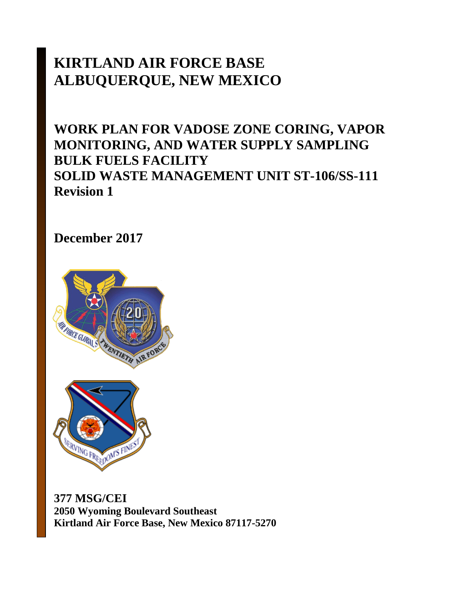# **KIRTLAND AIR FORCE BASE ALBUQUERQUE, NEW MEXICO**

# **WORK PLAN FOR VADOSE ZONE CORING, VAPOR MONITORING, AND WATER SUPPLY SAMPLING BULK FUELS FACILITY SOLID WASTE MANAGEMENT UNIT ST-106/SS-111 Revision 1**

**December 2017** 





**377 MSG/CEI 2050 Wyoming Boulevard Southeast Kirtland Air Force Base, New Mexico 87117-5270**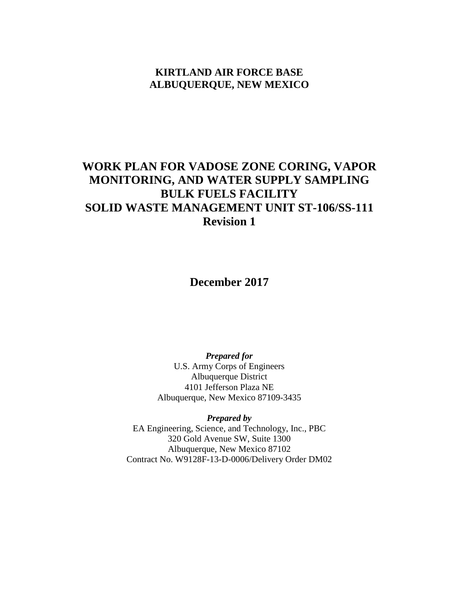# **KIRTLAND AIR FORCE BASE ALBUQUERQUE, NEW MEXICO**

# **WORK PLAN FOR VADOSE ZONE CORING, VAPOR MONITORING, AND WATER SUPPLY SAMPLING BULK FUELS FACILITY SOLID WASTE MANAGEMENT UNIT ST-106/SS-111 Revision 1**

**December 2017**

*Prepared for* U.S. Army Corps of Engineers Albuquerque District 4101 Jefferson Plaza NE Albuquerque, New Mexico 87109-3435

*Prepared by* EA Engineering, Science, and Technology, Inc., PBC 320 Gold Avenue SW, Suite 1300 Albuquerque, New Mexico 87102 Contract No. W9128F-13-D-0006/Delivery Order DM02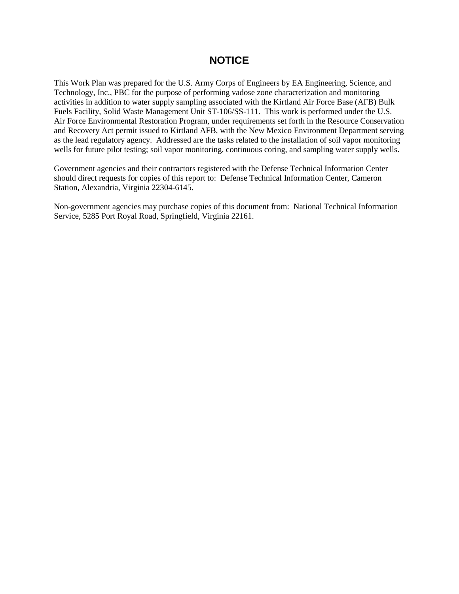# **NOTICE**

This Work Plan was prepared for the U.S. Army Corps of Engineers by EA Engineering, Science, and Technology, Inc., PBC for the purpose of performing vadose zone characterization and monitoring activities in addition to water supply sampling associated with the Kirtland Air Force Base (AFB) Bulk Fuels Facility, Solid Waste Management Unit ST-106/SS-111. This work is performed under the U.S. Air Force Environmental Restoration Program, under requirements set forth in the Resource Conservation and Recovery Act permit issued to Kirtland AFB, with the New Mexico Environment Department serving as the lead regulatory agency. Addressed are the tasks related to the installation of soil vapor monitoring wells for future pilot testing; soil vapor monitoring, continuous coring, and sampling water supply wells.

Government agencies and their contractors registered with the Defense Technical Information Center should direct requests for copies of this report to: Defense Technical Information Center, Cameron Station, Alexandria, Virginia 22304-6145.

Non-government agencies may purchase copies of this document from: National Technical Information Service, 5285 Port Royal Road, Springfield, Virginia 22161.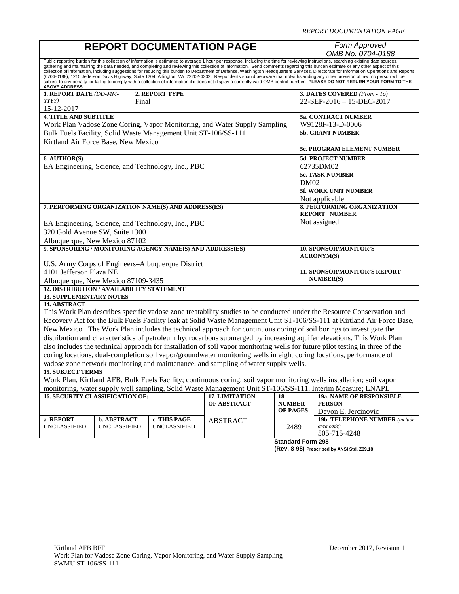| <b>REPORT DOCUMENTATION PAGE</b>                                                                                                                                                                                                                                                                                                                                                                                                                                                                                                                                                                                                                                                                                                                                                                                                                                                                                                                                        |                                           |                                                                |                                                                                     |                          | Form Approved<br>OMB No. 0704-0188                                                                                     |
|-------------------------------------------------------------------------------------------------------------------------------------------------------------------------------------------------------------------------------------------------------------------------------------------------------------------------------------------------------------------------------------------------------------------------------------------------------------------------------------------------------------------------------------------------------------------------------------------------------------------------------------------------------------------------------------------------------------------------------------------------------------------------------------------------------------------------------------------------------------------------------------------------------------------------------------------------------------------------|-------------------------------------------|----------------------------------------------------------------|-------------------------------------------------------------------------------------|--------------------------|------------------------------------------------------------------------------------------------------------------------|
| Public reporting burden for this collection of information is estimated to average 1 hour per response, including the time for reviewing instructions, searching existing data sources,<br>gathering and maintaining the data needed, and completing and reviewing this collection of information. Send comments regarding this burden estimate or any other aspect of this<br>collection of information, including suggestions for reducing this burden to Department of Defense, Washington Headquarters Services, Directorate for Information Operations and Reports<br>(0704-0188), 1215 Jefferson Davis Highway, Suite 1204, Arlington, VA 22202-4302. Respondents should be aware that notwithstanding any other provision of law, no person will be<br>subject to any penalty for failing to comply with a collection of information if it does not display a currently valid OMB control number. PLEASE DO NOT RETURN YOUR FORM TO THE<br><b>ABOVE ADDRESS.</b> |                                           |                                                                |                                                                                     |                          |                                                                                                                        |
| 1. REPORT DATE (DD-MM-                                                                                                                                                                                                                                                                                                                                                                                                                                                                                                                                                                                                                                                                                                                                                                                                                                                                                                                                                  |                                           | 2. REPORT TYPE                                                 |                                                                                     |                          | 3. DATES COVERED (From - To)                                                                                           |
| YYYY)<br>15-12-2017                                                                                                                                                                                                                                                                                                                                                                                                                                                                                                                                                                                                                                                                                                                                                                                                                                                                                                                                                     |                                           | Final                                                          |                                                                                     |                          | 22-SEP-2016 - 15-DEC-2017                                                                                              |
| <b>4. TITLE AND SUBTITLE</b>                                                                                                                                                                                                                                                                                                                                                                                                                                                                                                                                                                                                                                                                                                                                                                                                                                                                                                                                            |                                           |                                                                |                                                                                     |                          | 5a. CONTRACT NUMBER                                                                                                    |
|                                                                                                                                                                                                                                                                                                                                                                                                                                                                                                                                                                                                                                                                                                                                                                                                                                                                                                                                                                         |                                           |                                                                | Work Plan Vadose Zone Coring, Vapor Monitoring, and Water Supply Sampling           |                          | W9128F-13-D-0006                                                                                                       |
|                                                                                                                                                                                                                                                                                                                                                                                                                                                                                                                                                                                                                                                                                                                                                                                                                                                                                                                                                                         |                                           | Bulk Fuels Facility, Solid Waste Management Unit ST-106/SS-111 |                                                                                     |                          | <b>5b. GRANT NUMBER</b>                                                                                                |
|                                                                                                                                                                                                                                                                                                                                                                                                                                                                                                                                                                                                                                                                                                                                                                                                                                                                                                                                                                         |                                           |                                                                |                                                                                     |                          |                                                                                                                        |
| Kirtland Air Force Base, New Mexico                                                                                                                                                                                                                                                                                                                                                                                                                                                                                                                                                                                                                                                                                                                                                                                                                                                                                                                                     |                                           |                                                                |                                                                                     |                          | 5c. PROGRAM ELEMENT NUMBER                                                                                             |
| 6. AUTHOR(S)                                                                                                                                                                                                                                                                                                                                                                                                                                                                                                                                                                                                                                                                                                                                                                                                                                                                                                                                                            |                                           |                                                                |                                                                                     |                          | <b>5d. PROJECT NUMBER</b>                                                                                              |
|                                                                                                                                                                                                                                                                                                                                                                                                                                                                                                                                                                                                                                                                                                                                                                                                                                                                                                                                                                         |                                           | EA Engineering, Science, and Technology, Inc., PBC             |                                                                                     |                          | 62735DM02                                                                                                              |
|                                                                                                                                                                                                                                                                                                                                                                                                                                                                                                                                                                                                                                                                                                                                                                                                                                                                                                                                                                         |                                           |                                                                |                                                                                     |                          | <b>5e. TASK NUMBER</b>                                                                                                 |
|                                                                                                                                                                                                                                                                                                                                                                                                                                                                                                                                                                                                                                                                                                                                                                                                                                                                                                                                                                         |                                           |                                                                |                                                                                     |                          | DM02                                                                                                                   |
|                                                                                                                                                                                                                                                                                                                                                                                                                                                                                                                                                                                                                                                                                                                                                                                                                                                                                                                                                                         |                                           |                                                                |                                                                                     |                          | <b>5f. WORK UNIT NUMBER</b>                                                                                            |
|                                                                                                                                                                                                                                                                                                                                                                                                                                                                                                                                                                                                                                                                                                                                                                                                                                                                                                                                                                         |                                           |                                                                |                                                                                     |                          | Not applicable                                                                                                         |
|                                                                                                                                                                                                                                                                                                                                                                                                                                                                                                                                                                                                                                                                                                                                                                                                                                                                                                                                                                         |                                           | 7. PERFORMING ORGANIZATION NAME(S) AND ADDRESS(ES)             |                                                                                     |                          | 8. PERFORMING ORGANIZATION                                                                                             |
|                                                                                                                                                                                                                                                                                                                                                                                                                                                                                                                                                                                                                                                                                                                                                                                                                                                                                                                                                                         |                                           |                                                                |                                                                                     |                          | <b>REPORT NUMBER</b>                                                                                                   |
|                                                                                                                                                                                                                                                                                                                                                                                                                                                                                                                                                                                                                                                                                                                                                                                                                                                                                                                                                                         |                                           | EA Engineering, Science, and Technology, Inc., PBC             |                                                                                     |                          | Not assigned                                                                                                           |
| 320 Gold Avenue SW, Suite 1300                                                                                                                                                                                                                                                                                                                                                                                                                                                                                                                                                                                                                                                                                                                                                                                                                                                                                                                                          |                                           |                                                                |                                                                                     |                          |                                                                                                                        |
| Albuquerque, New Mexico 87102                                                                                                                                                                                                                                                                                                                                                                                                                                                                                                                                                                                                                                                                                                                                                                                                                                                                                                                                           |                                           |                                                                |                                                                                     |                          |                                                                                                                        |
|                                                                                                                                                                                                                                                                                                                                                                                                                                                                                                                                                                                                                                                                                                                                                                                                                                                                                                                                                                         |                                           | 9. SPONSORING / MONITORING AGENCY NAME(S) AND ADDRESS(ES)      |                                                                                     |                          | <b>10. SPONSOR/MONITOR'S</b><br><b>ACRONYM(S)</b>                                                                      |
|                                                                                                                                                                                                                                                                                                                                                                                                                                                                                                                                                                                                                                                                                                                                                                                                                                                                                                                                                                         |                                           | U.S. Army Corps of Engineers-Albuquerque District              |                                                                                     |                          |                                                                                                                        |
| 4101 Jefferson Plaza NE                                                                                                                                                                                                                                                                                                                                                                                                                                                                                                                                                                                                                                                                                                                                                                                                                                                                                                                                                 |                                           |                                                                |                                                                                     |                          | <b>11. SPONSOR/MONITOR'S REPORT</b>                                                                                    |
| Albuquerque, New Mexico 87109-3435                                                                                                                                                                                                                                                                                                                                                                                                                                                                                                                                                                                                                                                                                                                                                                                                                                                                                                                                      |                                           |                                                                |                                                                                     |                          | <b>NUMBER(S)</b>                                                                                                       |
|                                                                                                                                                                                                                                                                                                                                                                                                                                                                                                                                                                                                                                                                                                                                                                                                                                                                                                                                                                         | 12. DISTRIBUTION / AVAILABILITY STATEMENT |                                                                |                                                                                     |                          |                                                                                                                        |
| <b>13. SUPPLEMENTARY NOTES</b>                                                                                                                                                                                                                                                                                                                                                                                                                                                                                                                                                                                                                                                                                                                                                                                                                                                                                                                                          |                                           |                                                                |                                                                                     |                          |                                                                                                                        |
| <b>14. ABSTRACT</b>                                                                                                                                                                                                                                                                                                                                                                                                                                                                                                                                                                                                                                                                                                                                                                                                                                                                                                                                                     |                                           |                                                                |                                                                                     |                          |                                                                                                                        |
|                                                                                                                                                                                                                                                                                                                                                                                                                                                                                                                                                                                                                                                                                                                                                                                                                                                                                                                                                                         |                                           |                                                                |                                                                                     |                          | This Work Plan describes specific vadose zone treatability studies to be conducted under the Resource Conservation and |
|                                                                                                                                                                                                                                                                                                                                                                                                                                                                                                                                                                                                                                                                                                                                                                                                                                                                                                                                                                         |                                           |                                                                |                                                                                     |                          | Recovery Act for the Bulk Fuels Facility leak at Solid Waste Management Unit ST-106/SS-111 at Kirtland Air Force Base, |
|                                                                                                                                                                                                                                                                                                                                                                                                                                                                                                                                                                                                                                                                                                                                                                                                                                                                                                                                                                         |                                           |                                                                |                                                                                     |                          | New Mexico. The Work Plan includes the technical approach for continuous coring of soil borings to investigate the     |
|                                                                                                                                                                                                                                                                                                                                                                                                                                                                                                                                                                                                                                                                                                                                                                                                                                                                                                                                                                         |                                           |                                                                |                                                                                     |                          | distribution and characteristics of petroleum hydrocarbons submerged by increasing aquifer elevations. This Work Plan  |
| also includes the technical approach for installation of soil vapor monitoring wells for future pilot testing in three of the                                                                                                                                                                                                                                                                                                                                                                                                                                                                                                                                                                                                                                                                                                                                                                                                                                           |                                           |                                                                |                                                                                     |                          |                                                                                                                        |
| coring locations, dual-completion soil vapor/groundwater monitoring wells in eight coring locations, performance of                                                                                                                                                                                                                                                                                                                                                                                                                                                                                                                                                                                                                                                                                                                                                                                                                                                     |                                           |                                                                |                                                                                     |                          |                                                                                                                        |
|                                                                                                                                                                                                                                                                                                                                                                                                                                                                                                                                                                                                                                                                                                                                                                                                                                                                                                                                                                         |                                           |                                                                | vadose zone network monitoring and maintenance, and sampling of water supply wells. |                          |                                                                                                                        |
| <b>15. SUBJECT TERMS</b>                                                                                                                                                                                                                                                                                                                                                                                                                                                                                                                                                                                                                                                                                                                                                                                                                                                                                                                                                |                                           |                                                                |                                                                                     |                          |                                                                                                                        |
|                                                                                                                                                                                                                                                                                                                                                                                                                                                                                                                                                                                                                                                                                                                                                                                                                                                                                                                                                                         |                                           |                                                                |                                                                                     |                          | Work Plan, Kirtland AFB, Bulk Fuels Facility; continuous coring; soil vapor monitoring wells installation; soil vapor  |
| monitoring, water supply well sampling, Solid Waste Management Unit ST-106/SS-111, Interim Measure; LNAPL                                                                                                                                                                                                                                                                                                                                                                                                                                                                                                                                                                                                                                                                                                                                                                                                                                                               |                                           |                                                                |                                                                                     |                          |                                                                                                                        |
| <b>16. SECURITY CLASSIFICATION OF:</b>                                                                                                                                                                                                                                                                                                                                                                                                                                                                                                                                                                                                                                                                                                                                                                                                                                                                                                                                  |                                           |                                                                | 17. LIMITATION<br>OF ABSTRACT                                                       | 18.<br><b>NUMBER</b>     | <b>19a. NAME OF RESPONSIBLE</b><br><b>PERSON</b>                                                                       |
|                                                                                                                                                                                                                                                                                                                                                                                                                                                                                                                                                                                                                                                                                                                                                                                                                                                                                                                                                                         |                                           |                                                                |                                                                                     | OF PAGES                 | Devon E. Jercinovic                                                                                                    |
| a. REPORT                                                                                                                                                                                                                                                                                                                                                                                                                                                                                                                                                                                                                                                                                                                                                                                                                                                                                                                                                               | <b>b. ABSTRACT</b>                        | c. THIS PAGE                                                   | <b>ABSTRACT</b>                                                                     |                          | <b>19b. TELEPHONE NUMBER</b> (include                                                                                  |
| UNCLASSIFIED                                                                                                                                                                                                                                                                                                                                                                                                                                                                                                                                                                                                                                                                                                                                                                                                                                                                                                                                                            | <b>UNCLASSIFIED</b>                       | <b>UNCLASSIFIED</b>                                            |                                                                                     | 2489                     | area code)                                                                                                             |
|                                                                                                                                                                                                                                                                                                                                                                                                                                                                                                                                                                                                                                                                                                                                                                                                                                                                                                                                                                         |                                           |                                                                |                                                                                     |                          | 505-715-4248                                                                                                           |
|                                                                                                                                                                                                                                                                                                                                                                                                                                                                                                                                                                                                                                                                                                                                                                                                                                                                                                                                                                         |                                           |                                                                |                                                                                     | <b>Standard Form 298</b> |                                                                                                                        |

**(Rev. 8-98) Prescribed by ANSI Std. Z39.18**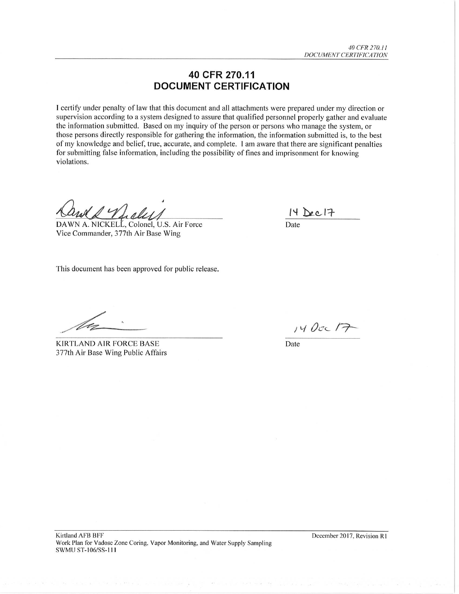# 40 CFR 270.11 **DOCUMENT CERTIFICATION**

I certify under penalty of law that this document and all attachments were prepared under my direction or supervision according to a system designed to assure that qualified personnel properly gather and evaluate the information submitted. Based on my inquiry of the person or persons who manage the system, or those persons directly responsible for gathering the information, the information submitted is, to the best of my knowledge and belief, true, accurate, and complete. I am aware that there are significant penalties for submitting false information, including the possibility of fines and imprisonment for knowing violations.

DAWN A. NICKELL, Colonel, U.S. Air Force Vice Commander, 377th Air Base Wing

 $14$  Dec 17

Date

This document has been approved for public release.

KIRTLAND AIR FORCE BASE 377th Air Base Wing Public Affairs

14 Occ 17

Date

December 2017, Revision R1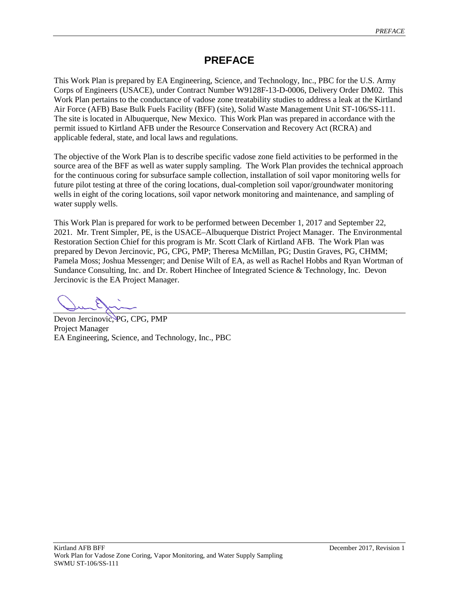# **PREFACE**

This Work Plan is prepared by EA Engineering, Science, and Technology, Inc., PBC for the U.S. Army Corps of Engineers (USACE), under Contract Number W9128F-13-D-0006, Delivery Order DM02. This Work Plan pertains to the conductance of vadose zone treatability studies to address a leak at the Kirtland Air Force (AFB) Base Bulk Fuels Facility (BFF) (site), Solid Waste Management Unit ST-106/SS-111. The site is located in Albuquerque, New Mexico. This Work Plan was prepared in accordance with the permit issued to Kirtland AFB under the Resource Conservation and Recovery Act (RCRA) and applicable federal, state, and local laws and regulations.

The objective of the Work Plan is to describe specific vadose zone field activities to be performed in the source area of the BFF as well as water supply sampling. The Work Plan provides the technical approach for the continuous coring for subsurface sample collection, installation of soil vapor monitoring wells for future pilot testing at three of the coring locations, dual-completion soil vapor/groundwater monitoring wells in eight of the coring locations, soil vapor network monitoring and maintenance, and sampling of water supply wells.

This Work Plan is prepared for work to be performed between December 1, 2017 and September 22, 2021. Mr. Trent Simpler, PE, is the USACE–Albuquerque District Project Manager. The Environmental Restoration Section Chief for this program is Mr. Scott Clark of Kirtland AFB. The Work Plan was prepared by Devon Jercinovic, PG, CPG, PMP; Theresa McMillan, PG; Dustin Graves, PG, CHMM; Pamela Moss; Joshua Messenger; and Denise Wilt of EA, as well as Rachel Hobbs and Ryan Wortman of Sundance Consulting, Inc. and Dr. Robert Hinchee of Integrated Science & Technology, Inc. Devon Jercinovic is the EA Project Manager.

Devon Jercinovic, PG, CPG, PMP Project Manager EA Engineering, Science, and Technology, Inc., PBC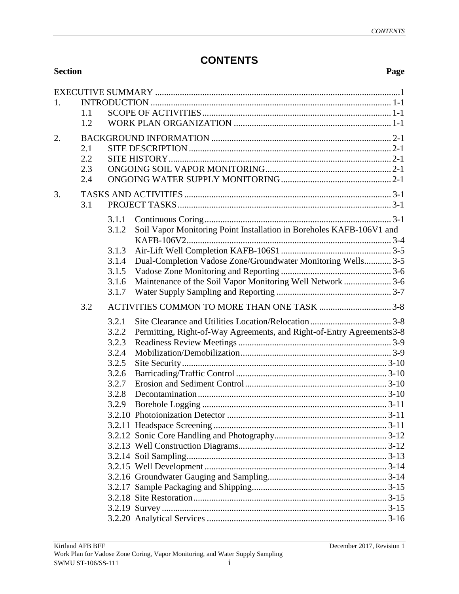# **CONTENTS**

| <b>Section</b> |     |       |                                                                       | Page |
|----------------|-----|-------|-----------------------------------------------------------------------|------|
|                |     |       |                                                                       |      |
| 1.             |     |       |                                                                       |      |
|                | 1.1 |       |                                                                       |      |
|                | 1.2 |       |                                                                       |      |
| 2.             |     |       |                                                                       |      |
|                | 2.1 |       |                                                                       |      |
|                | 2.2 |       |                                                                       |      |
|                | 2.3 |       |                                                                       |      |
|                | 2.4 |       |                                                                       |      |
| 3.             |     |       |                                                                       |      |
|                | 3.1 |       |                                                                       |      |
|                |     |       |                                                                       |      |
|                |     | 3.1.1 |                                                                       |      |
|                |     | 3.1.2 | Soil Vapor Monitoring Point Installation in Boreholes KAFB-106V1 and  |      |
|                |     | 3.1.3 |                                                                       |      |
|                |     | 3.1.4 | Dual-Completion Vadose Zone/Groundwater Monitoring Wells 3-5          |      |
|                |     | 3.1.5 |                                                                       |      |
|                |     | 3.1.6 | Maintenance of the Soil Vapor Monitoring Well Network  3-6            |      |
|                |     | 3.1.7 |                                                                       |      |
|                | 3.2 |       | ACTIVITIES COMMON TO MORE THAN ONE TASK 3-8                           |      |
|                |     | 3.2.1 |                                                                       |      |
|                |     | 3.2.2 | Permitting, Right-of-Way Agreements, and Right-of-Entry Agreements3-8 |      |
|                |     | 3.2.3 |                                                                       |      |
|                |     | 3.2.4 |                                                                       |      |
|                |     | 3.2.5 |                                                                       |      |
|                |     | 3.2.6 |                                                                       |      |
|                |     | 3.2.7 |                                                                       |      |
|                |     | 3.2.8 |                                                                       |      |
|                |     |       |                                                                       |      |
|                |     |       |                                                                       |      |
|                |     |       |                                                                       |      |
|                |     |       |                                                                       |      |
|                |     |       |                                                                       |      |
|                |     |       |                                                                       |      |
|                |     |       |                                                                       |      |
|                |     |       |                                                                       |      |
|                |     |       |                                                                       |      |
|                |     |       |                                                                       |      |
|                |     |       |                                                                       |      |
|                |     |       |                                                                       |      |
|                |     |       |                                                                       |      |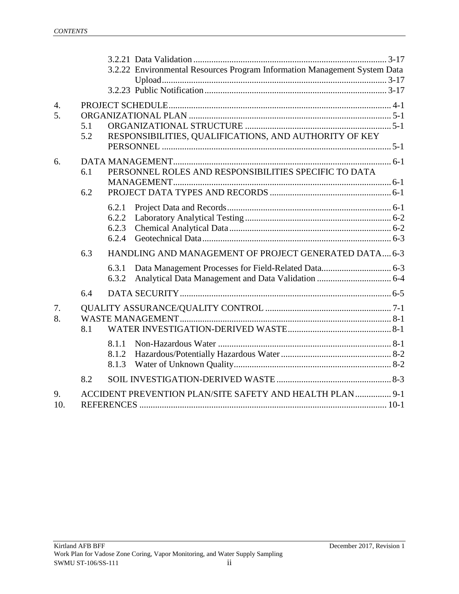|                        |            |                                  | 3.2.22 Environmental Resources Program Information Management System Data |  |
|------------------------|------------|----------------------------------|---------------------------------------------------------------------------|--|
| $\overline{4}$ .<br>5. | 5.1<br>5.2 |                                  | RESPONSIBILITIES, QUALIFICATIONS, AND AUTHORITY OF KEY                    |  |
| 6.                     | 6.1<br>6.2 |                                  | PERSONNEL ROLES AND RESPONSIBILITIES SPECIFIC TO DATA                     |  |
|                        |            | 6.2.1<br>6.2.2<br>6.2.3<br>6.2.4 |                                                                           |  |
|                        | 6.3        | 6.3.1<br>6.3.2                   | HANDLING AND MANAGEMENT OF PROJECT GENERATED DATA 6-3                     |  |
|                        | 6.4        |                                  |                                                                           |  |
| 7.<br>8.               | 8.1        |                                  |                                                                           |  |
|                        |            | 8.1.1<br>8.1.2<br>8.1.3          |                                                                           |  |
|                        | 8.2        |                                  |                                                                           |  |
| 9.<br>10.              |            |                                  | ACCIDENT PREVENTION PLAN/SITE SAFETY AND HEALTH PLAN  9-1                 |  |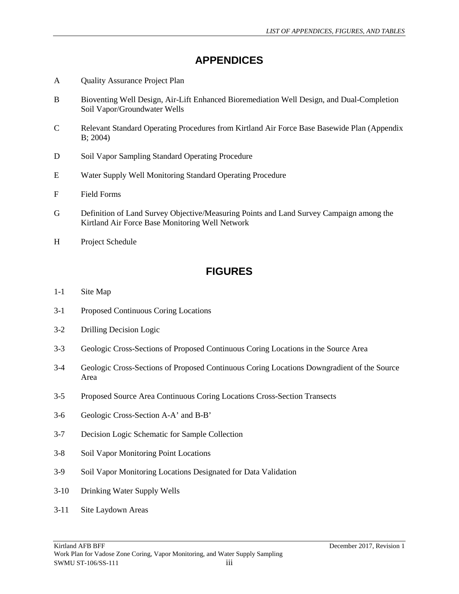# **APPENDICES**

- A Quality Assurance Project Plan
- B Bioventing Well Design, Air-Lift Enhanced Bioremediation Well Design, and Dual-Completion Soil Vapor/Groundwater Wells
- C Relevant Standard Operating Procedures from Kirtland Air Force Base Basewide Plan (Appendix B; 2004)
- D Soil Vapor Sampling Standard Operating Procedure
- E Water Supply Well Monitoring Standard Operating Procedure
- F Field Forms
- G Definition of Land Survey Objective/Measuring Points and Land Survey Campaign among the Kirtland Air Force Base Monitoring Well Network
- H Project Schedule

# **FIGURES**

- 1-1 Site Map
- 3-1 Proposed Continuous Coring Locations
- 3-2 Drilling Decision Logic
- 3-3 Geologic Cross-Sections of Proposed Continuous Coring Locations in the Source Area
- 3-4 Geologic Cross-Sections of Proposed Continuous Coring Locations Downgradient of the Source Area
- 3-5 Proposed Source Area Continuous Coring Locations Cross-Section Transects
- 3-6 Geologic Cross-Section A-A' and B-B'
- 3-7 Decision Logic Schematic for Sample Collection
- 3-8 Soil Vapor Monitoring Point Locations
- 3-9 Soil Vapor Monitoring Locations Designated for Data Validation
- 3-10 Drinking Water Supply Wells
- 3-11 Site Laydown Areas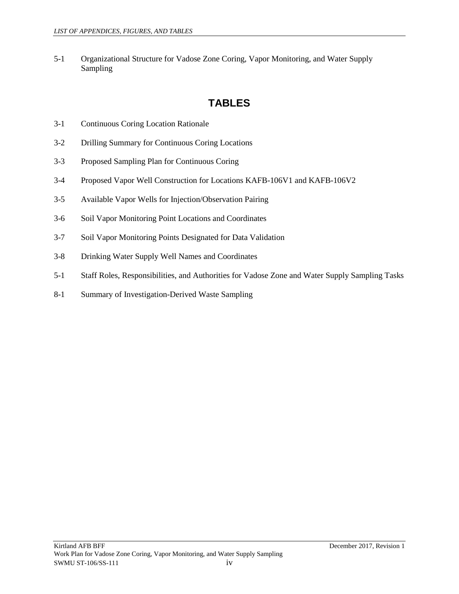5-1 Organizational Structure for Vadose Zone Coring, Vapor Monitoring, and Water Supply Sampling

# **TABLES**

- 3-1 Continuous Coring Location Rationale
- 3-2 Drilling Summary for Continuous Coring Locations
- 3-3 Proposed Sampling Plan for Continuous Coring
- 3-4 Proposed Vapor Well Construction for Locations KAFB-106V1 and KAFB-106V2
- 3-5 Available Vapor Wells for Injection/Observation Pairing
- 3-6 Soil Vapor Monitoring Point Locations and Coordinates
- 3-7 Soil Vapor Monitoring Points Designated for Data Validation
- 3-8 Drinking Water Supply Well Names and Coordinates
- 5-1 Staff Roles, Responsibilities, and Authorities for Vadose Zone and Water Supply Sampling Tasks
- 8-1 Summary of Investigation-Derived Waste Sampling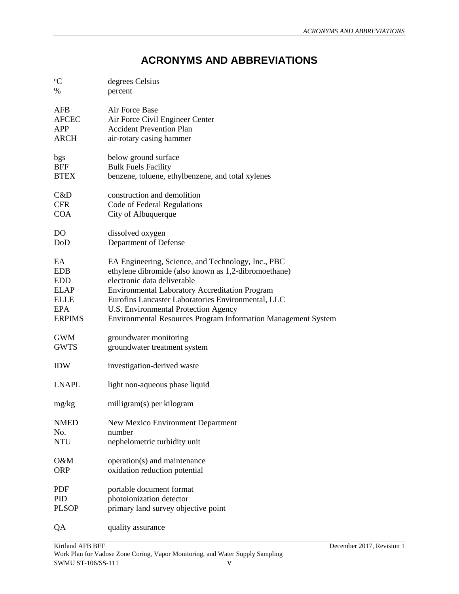# **ACRONYMS AND ABBREVIATIONS**

| $\mathrm{^o}\!C$ | degrees Celsius                                               |
|------------------|---------------------------------------------------------------|
| %                | percent                                                       |
| <b>AFB</b>       | Air Force Base                                                |
| <b>AFCEC</b>     | Air Force Civil Engineer Center                               |
| <b>APP</b>       | <b>Accident Prevention Plan</b>                               |
| <b>ARCH</b>      | air-rotary casing hammer                                      |
|                  |                                                               |
| bgs              | below ground surface                                          |
| <b>BFF</b>       | <b>Bulk Fuels Facility</b>                                    |
| <b>BTEX</b>      | benzene, toluene, ethylbenzene, and total xylenes             |
| C&D              | construction and demolition                                   |
| <b>CFR</b>       | Code of Federal Regulations                                   |
| <b>COA</b>       | City of Albuquerque                                           |
|                  |                                                               |
| DO               | dissolved oxygen                                              |
| DoD              | Department of Defense                                         |
| EA               | EA Engineering, Science, and Technology, Inc., PBC            |
| <b>EDB</b>       | ethylene dibromide (also known as 1,2-dibromoethane)          |
| <b>EDD</b>       | electronic data deliverable                                   |
| <b>ELAP</b>      | <b>Environmental Laboratory Accreditation Program</b>         |
|                  |                                                               |
| <b>ELLE</b>      | Eurofins Lancaster Laboratories Environmental, LLC            |
| <b>EPA</b>       | U.S. Environmental Protection Agency                          |
| <b>ERPIMS</b>    | Environmental Resources Program Information Management System |
| <b>GWM</b>       | groundwater monitoring                                        |
| <b>GWTS</b>      | groundwater treatment system                                  |
| <b>IDW</b>       | investigation-derived waste                                   |
| <b>LNAPL</b>     | light non-aqueous phase liquid                                |
| mg/kg            | milligram(s) per kilogram                                     |
| <b>NMED</b>      | New Mexico Environment Department                             |
| No.              | number                                                        |
| <b>NTU</b>       | nephelometric turbidity unit                                  |
| O&M              |                                                               |
| <b>ORP</b>       | operation(s) and maintenance                                  |
|                  | oxidation reduction potential                                 |
| <b>PDF</b>       | portable document format                                      |
| PID              | photoionization detector                                      |
| <b>PLSOP</b>     | primary land survey objective point                           |
|                  |                                                               |
| QA               | quality assurance                                             |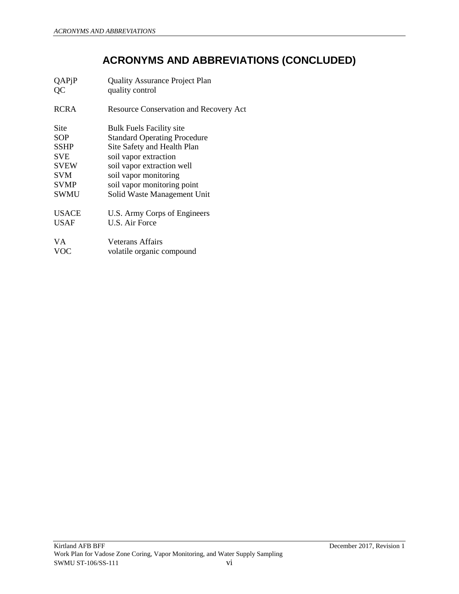# **ACRONYMS AND ABBREVIATIONS (CONCLUDED)**

| QAPjP<br>QC | <b>Quality Assurance Project Plan</b><br>quality control |
|-------------|----------------------------------------------------------|
| RCRA        | <b>Resource Conservation and Recovery Act</b>            |
| Site        | <b>Bulk Fuels Facility site</b>                          |
| SOP         | <b>Standard Operating Procedure</b>                      |
| SSHP        | Site Safety and Health Plan                              |
| SVE         | soil vapor extraction                                    |
| <b>SVEW</b> | soil vapor extraction well                               |
| SVM         | soil vapor monitoring                                    |
| <b>SVMP</b> | soil vapor monitoring point                              |
| SWMU        | Solid Waste Management Unit                              |
| USACE       | U.S. Army Corps of Engineers                             |
| USAF        | U.S. Air Force                                           |
| VА          | Veterans Affairs                                         |
| <b>VOC</b>  | volatile organic compound                                |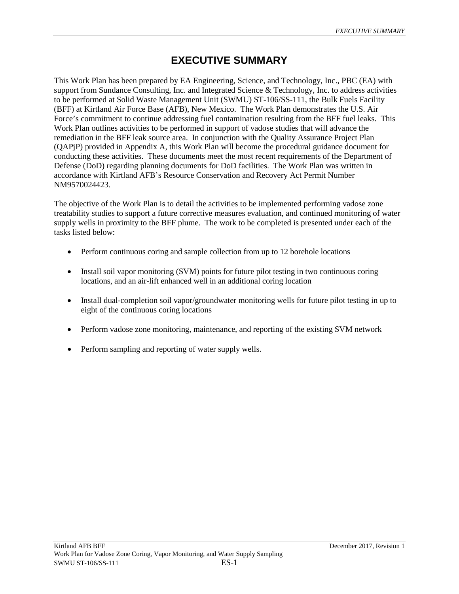# **EXECUTIVE SUMMARY**

<span id="page-14-0"></span>This Work Plan has been prepared by EA Engineering, Science, and Technology, Inc., PBC (EA) with support from Sundance Consulting, Inc. and Integrated Science & Technology, Inc. to address activities to be performed at Solid Waste Management Unit (SWMU) ST-106/SS-111, the Bulk Fuels Facility (BFF) at Kirtland Air Force Base (AFB), New Mexico. The Work Plan demonstrates the U.S. Air Force's commitment to continue addressing fuel contamination resulting from the BFF fuel leaks. This Work Plan outlines activities to be performed in support of vadose studies that will advance the remediation in the BFF leak source area. In conjunction with the Quality Assurance Project Plan (QAPjP) provided in Appendix A, this Work Plan will become the procedural guidance document for conducting these activities. These documents meet the most recent requirements of the Department of Defense (DoD) regarding planning documents for DoD facilities. The Work Plan was written in accordance with Kirtland AFB's Resource Conservation and Recovery Act Permit Number NM9570024423.

The objective of the Work Plan is to detail the activities to be implemented performing vadose zone treatability studies to support a future corrective measures evaluation, and continued monitoring of water supply wells in proximity to the BFF plume. The work to be completed is presented under each of the tasks listed below:

- Perform continuous coring and sample collection from up to 12 borehole locations
- Install soil vapor monitoring (SVM) points for future pilot testing in two continuous coring locations, and an air-lift enhanced well in an additional coring location
- Install dual-completion soil vapor/groundwater monitoring wells for future pilot testing in up to eight of the continuous coring locations
- Perform vadose zone monitoring, maintenance, and reporting of the existing SVM network
- Perform sampling and reporting of water supply wells.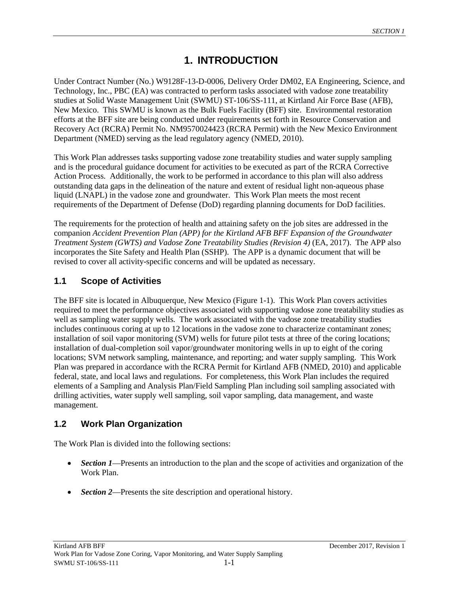# **1. INTRODUCTION**

<span id="page-16-0"></span>Under Contract Number (No.) W9128F-13-D-0006, Delivery Order DM02, EA Engineering, Science, and Technology, Inc., PBC (EA) was contracted to perform tasks associated with vadose zone treatability studies at Solid Waste Management Unit (SWMU) ST-106/SS-111, at Kirtland Air Force Base (AFB), New Mexico. This SWMU is known as the Bulk Fuels Facility (BFF) site. Environmental restoration efforts at the BFF site are being conducted under requirements set forth in Resource Conservation and Recovery Act (RCRA) Permit No. NM9570024423 (RCRA Permit) with the New Mexico Environment Department (NMED) serving as the lead regulatory agency (NMED, 2010).

This Work Plan addresses tasks supporting vadose zone treatability studies and water supply sampling and is the procedural guidance document for activities to be executed as part of the RCRA Corrective Action Process. Additionally, the work to be performed in accordance to this plan will also address outstanding data gaps in the delineation of the nature and extent of residual light non-aqueous phase liquid (LNAPL) in the vadose zone and groundwater. This Work Plan meets the most recent requirements of the Department of Defense (DoD) regarding planning documents for DoD facilities.

The requirements for the protection of health and attaining safety on the job sites are addressed in the companion *Accident Prevention Plan (APP) for the Kirtland AFB BFF Expansion of the Groundwater Treatment System (GWTS) and Vadose Zone Treatability Studies (Revision 4)* (EA, 2017). The APP also incorporates the Site Safety and Health Plan (SSHP). The APP is a dynamic document that will be revised to cover all activity-specific concerns and will be updated as necessary.

# <span id="page-16-1"></span>**1.1 Scope of Activities**

The BFF site is located in Albuquerque, New Mexico (Figure 1-1). This Work Plan covers activities required to meet the performance objectives associated with supporting vadose zone treatability studies as well as sampling water supply wells. The work associated with the vadose zone treatability studies includes continuous coring at up to 12 locations in the vadose zone to characterize contaminant zones; installation of soil vapor monitoring (SVM) wells for future pilot tests at three of the coring locations; installation of dual-completion soil vapor/groundwater monitoring wells in up to eight of the coring locations; SVM network sampling, maintenance, and reporting; and water supply sampling. This Work Plan was prepared in accordance with the RCRA Permit for Kirtland AFB (NMED, 2010) and applicable federal, state, and local laws and regulations. For completeness, this Work Plan includes the required elements of a Sampling and Analysis Plan/Field Sampling Plan including soil sampling associated with drilling activities, water supply well sampling, soil vapor sampling, data management, and waste management.

# <span id="page-16-2"></span>**1.2 Work Plan Organization**

The Work Plan is divided into the following sections:

- *Section 1***—Presents an introduction to the plan and the scope of activities and organization of the** Work Plan.
- *Section 2—Presents the site description and operational history.*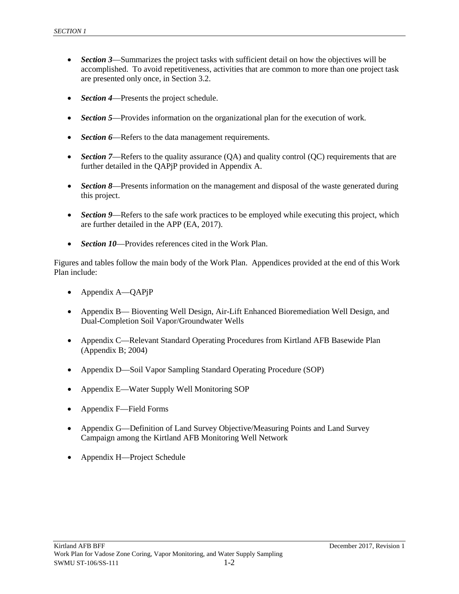- *Section 3***—Summarizes the project tasks with sufficient detail on how the objectives will be** accomplished. To avoid repetitiveness, activities that are common to more than one project task are presented only once, in Section 3.2.
- *Section 4*—Presents the project schedule.
- *Section 5***—Provides information on the organizational plan for the execution of work.**
- **Section 6—Refers to the data management requirements.**
- *Section 7*—Refers to the quality assurance (QA) and quality control (QC) requirements that are further detailed in the QAPjP provided in Appendix A.
- *Section 8***—Presents information on the management and disposal of the waste generated during** this project.
- *Section* 9—Refers to the safe work practices to be employed while executing this project, which are further detailed in the APP (EA, 2017).
- *Section 10*—Provides references cited in the Work Plan.

Figures and tables follow the main body of the Work Plan. Appendices provided at the end of this Work Plan include:

- Appendix A—QAPjP
- Appendix B— Bioventing Well Design, Air-Lift Enhanced Bioremediation Well Design, and Dual-Completion Soil Vapor/Groundwater Wells
- Appendix C—Relevant Standard Operating Procedures from Kirtland AFB Basewide Plan (Appendix B; 2004)
- Appendix D—Soil Vapor Sampling Standard Operating Procedure (SOP)
- Appendix E—Water Supply Well Monitoring SOP
- Appendix F—Field Forms
- Appendix G—Definition of Land Survey Objective/Measuring Points and Land Survey Campaign among the Kirtland AFB Monitoring Well Network
- Appendix H—Project Schedule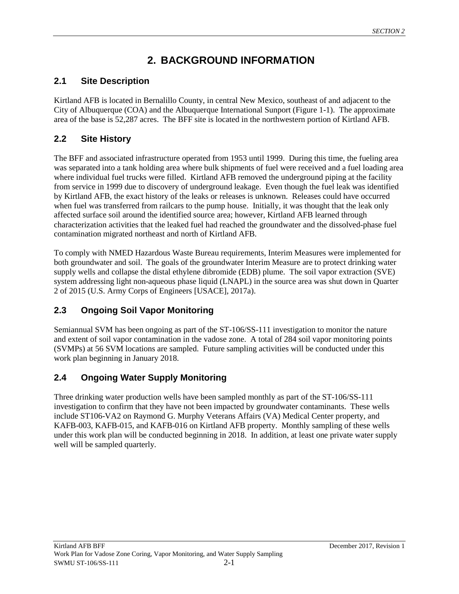# **2. BACKGROUND INFORMATION**

# <span id="page-18-1"></span><span id="page-18-0"></span>**2.1 Site Description**

Kirtland AFB is located in Bernalillo County, in central New Mexico, southeast of and adjacent to the City of Albuquerque (COA) and the Albuquerque International Sunport (Figure 1-1). The approximate area of the base is 52,287 acres. The BFF site is located in the northwestern portion of Kirtland AFB.

# <span id="page-18-2"></span>**2.2 Site History**

The BFF and associated infrastructure operated from 1953 until 1999. During this time, the fueling area was separated into a tank holding area where bulk shipments of fuel were received and a fuel loading area where individual fuel trucks were filled. Kirtland AFB removed the underground piping at the facility from service in 1999 due to discovery of underground leakage. Even though the fuel leak was identified by Kirtland AFB, the exact history of the leaks or releases is unknown. Releases could have occurred when fuel was transferred from railcars to the pump house. Initially, it was thought that the leak only affected surface soil around the identified source area; however, Kirtland AFB learned through characterization activities that the leaked fuel had reached the groundwater and the dissolved-phase fuel contamination migrated northeast and north of Kirtland AFB.

To comply with NMED Hazardous Waste Bureau requirements, Interim Measures were implemented for both groundwater and soil. The goals of the groundwater Interim Measure are to protect drinking water supply wells and collapse the distal ethylene dibromide (EDB) plume. The soil vapor extraction (SVE) system addressing light non-aqueous phase liquid (LNAPL) in the source area was shut down in Quarter 2 of 2015 (U.S. Army Corps of Engineers [USACE], 2017a).

# <span id="page-18-3"></span>**2.3 Ongoing Soil Vapor Monitoring**

Semiannual SVM has been ongoing as part of the ST-106/SS-111 investigation to monitor the nature and extent of soil vapor contamination in the vadose zone. A total of 284 soil vapor monitoring points (SVMPs) at 56 SVM locations are sampled. Future sampling activities will be conducted under this work plan beginning in January 2018.

# <span id="page-18-4"></span>**2.4 Ongoing Water Supply Monitoring**

Three drinking water production wells have been sampled monthly as part of the ST-106/SS-111 investigation to confirm that they have not been impacted by groundwater contaminants. These wells include ST106-VA2 on Raymond G. Murphy Veterans Affairs (VA) Medical Center property, and KAFB-003, KAFB-015, and KAFB-016 on Kirtland AFB property. Monthly sampling of these wells under this work plan will be conducted beginning in 2018. In addition, at least one private water supply well will be sampled quarterly.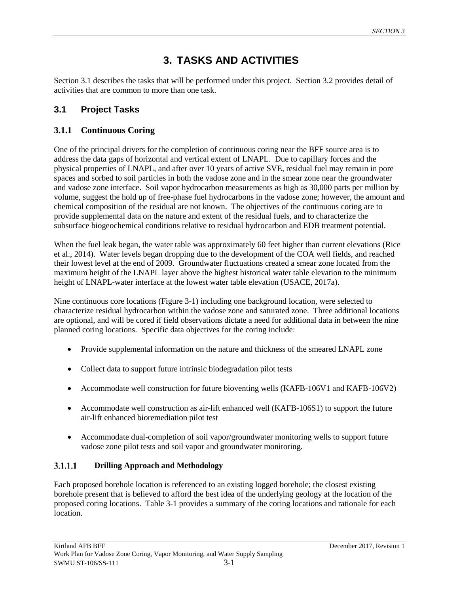# **3. TASKS AND ACTIVITIES**

<span id="page-20-0"></span>Section 3.1 describes the tasks that will be performed under this project. Section 3.2 provides detail of activities that are common to more than one task.

# <span id="page-20-1"></span>**3.1 Project Tasks**

## <span id="page-20-2"></span>**3.1.1 Continuous Coring**

One of the principal drivers for the completion of continuous coring near the BFF source area is to address the data gaps of horizontal and vertical extent of LNAPL. Due to capillary forces and the physical properties of LNAPL, and after over 10 years of active SVE, residual fuel may remain in pore spaces and sorbed to soil particles in both the vadose zone and in the smear zone near the groundwater and vadose zone interface. Soil vapor hydrocarbon measurements as high as 30,000 parts per million by volume, suggest the hold up of free-phase fuel hydrocarbons in the vadose zone; however, the amount and chemical composition of the residual are not known. The objectives of the continuous coring are to provide supplemental data on the nature and extent of the residual fuels, and to characterize the subsurface biogeochemical conditions relative to residual hydrocarbon and EDB treatment potential.

When the fuel leak began, the water table was approximately 60 feet higher than current elevations (Rice et al., 2014). Water levels began dropping due to the development of the COA well fields, and reached their lowest level at the end of 2009. Groundwater fluctuations created a smear zone located from the maximum height of the LNAPL layer above the highest historical water table elevation to the minimum height of LNAPL-water interface at the lowest water table elevation (USACE, 2017a).

Nine continuous core locations (Figure 3-1) including one background location, were selected to characterize residual hydrocarbon within the vadose zone and saturated zone. Three additional locations are optional, and will be cored if field observations dictate a need for additional data in between the nine planned coring locations. Specific data objectives for the coring include:

- Provide supplemental information on the nature and thickness of the smeared LNAPL zone
- Collect data to support future intrinsic biodegradation pilot tests
- Accommodate well construction for future bioventing wells (KAFB-106V1 and KAFB-106V2)
- Accommodate well construction as air-lift enhanced well (KAFB-106S1) to support the future air-lift enhanced bioremediation pilot test
- Accommodate dual-completion of soil vapor/groundwater monitoring wells to support future vadose zone pilot tests and soil vapor and groundwater monitoring.

#### $3.1.1.1$ **Drilling Approach and Methodology**

Each proposed borehole location is referenced to an existing logged borehole; the closest existing borehole present that is believed to afford the best idea of the underlying geology at the location of the proposed coring locations. Table 3-1 provides a summary of the coring locations and rationale for each location.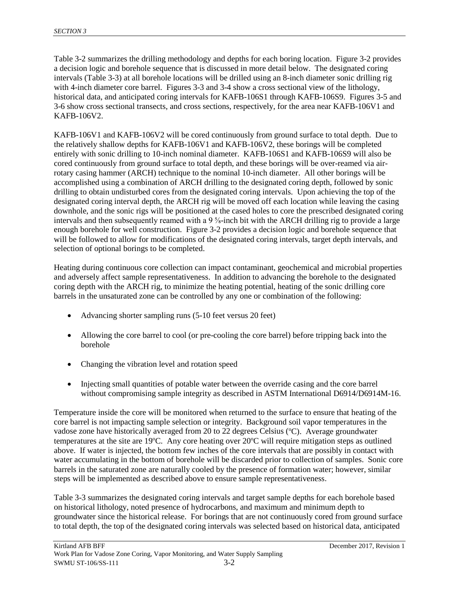Table 3-2 summarizes the drilling methodology and depths for each boring location. Figure 3-2 provides a decision logic and borehole sequence that is discussed in more detail below. The designated coring intervals (Table 3-3) at all borehole locations will be drilled using an 8-inch diameter sonic drilling rig with 4-inch diameter core barrel. Figures 3-3 and 3-4 show a cross sectional view of the lithology, historical data, and anticipated coring intervals for KAFB-106S1 through KAFB-106S9. Figures 3-5 and 3-6 show cross sectional transects, and cross sections, respectively, for the area near KAFB-106V1 and KAFB-106V2.

KAFB-106V1 and KAFB-106V2 will be cored continuously from ground surface to total depth. Due to the relatively shallow depths for KAFB-106V1 and KAFB-106V2, these borings will be completed entirely with sonic drilling to 10-inch nominal diameter. KAFB-106S1 and KAFB-106S9 will also be cored continuously from ground surface to total depth, and these borings will be over-reamed via airrotary casing hammer (ARCH) technique to the nominal 10-inch diameter. All other borings will be accomplished using a combination of ARCH drilling to the designated coring depth, followed by sonic drilling to obtain undisturbed cores from the designated coring intervals. Upon achieving the top of the designated coring interval depth, the ARCH rig will be moved off each location while leaving the casing downhole, and the sonic rigs will be positioned at the cased holes to core the prescribed designated coring intervals and then subsequently reamed with a 9 <sup>5</sup>/<sub>8</sub>-inch bit with the ARCH drilling rig to provide a large enough borehole for well construction. Figure 3-2 provides a decision logic and borehole sequence that will be followed to allow for modifications of the designated coring intervals, target depth intervals, and selection of optional borings to be completed.

Heating during continuous core collection can impact contaminant, geochemical and microbial properties and adversely affect sample representativeness. In addition to advancing the borehole to the designated coring depth with the ARCH rig, to minimize the heating potential, heating of the sonic drilling core barrels in the unsaturated zone can be controlled by any one or combination of the following:

- Advancing shorter sampling runs (5-10 feet versus 20 feet)
- Allowing the core barrel to cool (or pre-cooling the core barrel) before tripping back into the borehole
- Changing the vibration level and rotation speed
- Injecting small quantities of potable water between the override casing and the core barrel without compromising sample integrity as described in ASTM International D6914/D6914M-16.

Temperature inside the core will be monitored when returned to the surface to ensure that heating of the core barrel is not impacting sample selection or integrity. Background soil vapor temperatures in the vadose zone have historically averaged from 20 to 22 degrees Celsius (°C). Average groundwater temperatures at the site are 19°C. Any core heating over 20°C will require mitigation steps as outlined above. If water is injected, the bottom few inches of the core intervals that are possibly in contact with water accumulating in the bottom of borehole will be discarded prior to collection of samples. Sonic core barrels in the saturated zone are naturally cooled by the presence of formation water; however, similar steps will be implemented as described above to ensure sample representativeness.

Table 3-3 summarizes the designated coring intervals and target sample depths for each borehole based on historical lithology, noted presence of hydrocarbons, and maximum and minimum depth to groundwater since the historical release. For borings that are not continuously cored from ground surface to total depth, the top of the designated coring intervals was selected based on historical data, anticipated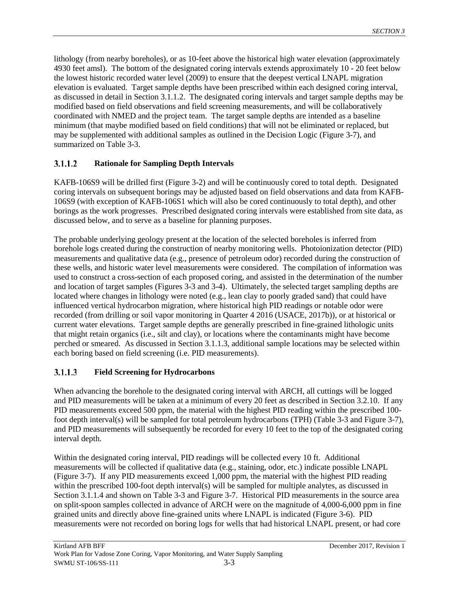lithology (from nearby boreholes), or as 10-feet above the historical high water elevation (approximately 4930 feet amsl). The bottom of the designated coring intervals extends approximately 10 - 20 feet below the lowest historic recorded water level (2009) to ensure that the deepest vertical LNAPL migration elevation is evaluated. Target sample depths have been prescribed within each designed coring interval, as discussed in detail in Section 3.1.1.2. The designated coring intervals and target sample depths may be modified based on field observations and field screening measurements, and will be collaboratively coordinated with NMED and the project team. The target sample depths are intended as a baseline minimum (that maybe modified based on field conditions) that will not be eliminated or replaced, but may be supplemented with additional samples as outlined in the Decision Logic (Figure 3-7), and summarized on Table 3-3.

#### $3.1.1.2$ **Rationale for Sampling Depth Intervals**

KAFB-106S9 will be drilled first (Figure 3-2) and will be continuously cored to total depth. Designated coring intervals on subsequent borings may be adjusted based on field observations and data from KAFB-106S9 (with exception of KAFB-106S1 which will also be cored continuously to total depth), and other borings as the work progresses. Prescribed designated coring intervals were established from site data, as discussed below, and to serve as a baseline for planning purposes.

The probable underlying geology present at the location of the selected boreholes is inferred from borehole logs created during the construction of nearby monitoring wells. Photoionization detector (PID) measurements and qualitative data (e.g., presence of petroleum odor) recorded during the construction of these wells, and historic water level measurements were considered. The compilation of information was used to construct a cross-section of each proposed coring, and assisted in the determination of the number and location of target samples (Figures 3-3 and 3-4). Ultimately, the selected target sampling depths are located where changes in lithology were noted (e.g., lean clay to poorly graded sand) that could have influenced vertical hydrocarbon migration, where historical high PID readings or notable odor were recorded (from drilling or soil vapor monitoring in Quarter 4 2016 (USACE, 2017b)), or at historical or current water elevations. Target sample depths are generally prescribed in fine-grained lithologic units that might retain organics (i.e., silt and clay), or locations where the contaminants might have become perched or smeared. As discussed in Section 3.1.1.3, additional sample locations may be selected within each boring based on field screening (i.e. PID measurements).

#### $3.1.1.3$ **Field Screening for Hydrocarbons**

When advancing the borehole to the designated coring interval with ARCH, all cuttings will be logged and PID measurements will be taken at a minimum of every 20 feet as described in Section 3.2.10. If any PID measurements exceed 500 ppm, the material with the highest PID reading within the prescribed 100 foot depth interval(s) will be sampled for total petroleum hydrocarbons (TPH) (Table 3-3 and Figure 3-7), and PID measurements will subsequently be recorded for every 10 feet to the top of the designated coring interval depth.

Within the designated coring interval, PID readings will be collected every 10 ft. Additional measurements will be collected if qualitative data (e.g., staining, odor, etc.) indicate possible LNAPL (Figure 3-7). If any PID measurements exceed 1,000 ppm, the material with the highest PID reading within the prescribed 100-foot depth interval(s) will be sampled for multiple analytes, as discussed in Section 3.1.1.4 and shown on Table 3-3 and Figure 3-7. Historical PID measurements in the source area on split-spoon samples collected in advance of ARCH were on the magnitude of 4,000-6,000 ppm in fine grained units and directly above fine-grained units where LNAPL is indicated (Figure 3-6). PID measurements were not recorded on boring logs for wells that had historical LNAPL present, or had core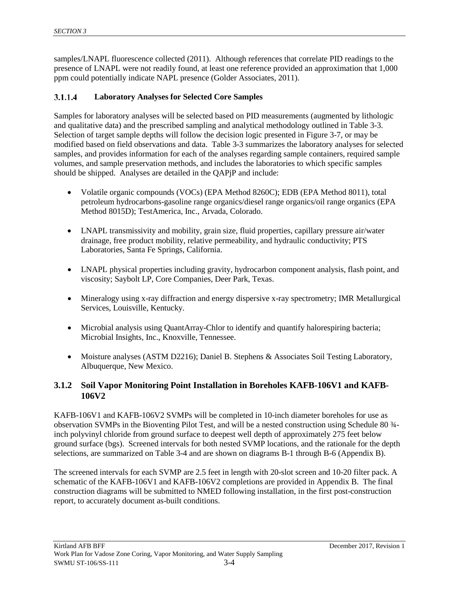samples/LNAPL fluorescence collected (2011). Although references that correlate PID readings to the presence of LNAPL were not readily found, at least one reference provided an approximation that 1,000 ppm could potentially indicate NAPL presence (Golder Associates, 2011).

#### $3.1.1.4$ **Laboratory Analyses for Selected Core Samples**

Samples for laboratory analyses will be selected based on PID measurements (augmented by lithologic and qualitative data) and the prescribed sampling and analytical methodology outlined in Table 3-3. Selection of target sample depths will follow the decision logic presented in Figure 3-7, or may be modified based on field observations and data. Table 3-3 summarizes the laboratory analyses for selected samples, and provides information for each of the analyses regarding sample containers, required sample volumes, and sample preservation methods, and includes the laboratories to which specific samples should be shipped. Analyses are detailed in the QAPjP and include:

- Volatile organic compounds (VOCs) (EPA Method 8260C); EDB (EPA Method 8011), total petroleum hydrocarbons-gasoline range organics/diesel range organics/oil range organics (EPA Method 8015D); TestAmerica, Inc., Arvada, Colorado.
- LNAPL transmissivity and mobility, grain size, fluid properties, capillary pressure air/water drainage, free product mobility, relative permeability, and hydraulic conductivity; PTS Laboratories, Santa Fe Springs, California.
- LNAPL physical properties including gravity, hydrocarbon component analysis, flash point, and viscosity; Saybolt LP, Core Companies, Deer Park, Texas.
- Mineralogy using x-ray diffraction and energy dispersive x-ray spectrometry; IMR Metallurgical Services, Louisville, Kentucky.
- Microbial analysis using QuantArray-Chlor to identify and quantify halorespiring bacteria; Microbial Insights, Inc., Knoxville, Tennessee.
- Moisture analyses (ASTM D2216); Daniel B. Stephens & Associates Soil Testing Laboratory, Albuquerque, New Mexico.

#### <span id="page-23-0"></span>**3.1.2 Soil Vapor Monitoring Point Installation in Boreholes KAFB-106V1 and KAFB-106V2**

KAFB-106V1 and KAFB-106V2 SVMPs will be completed in 10-inch diameter boreholes for use as observation SVMPs in the Bioventing Pilot Test, and will be a nested construction using Schedule 80 ¾ inch polyvinyl chloride from ground surface to deepest well depth of approximately 275 feet below ground surface (bgs). Screened intervals for both nested SVMP locations, and the rationale for the depth selections, are summarized on Table 3-4 and are shown on diagrams B-1 through B-6 (Appendix B).

The screened intervals for each SVMP are 2.5 feet in length with 20-slot screen and 10-20 filter pack. A schematic of the KAFB-106V1 and KAFB-106V2 completions are provided in Appendix B. The final construction diagrams will be submitted to NMED following installation, in the first post-construction report, to accurately document as-built conditions.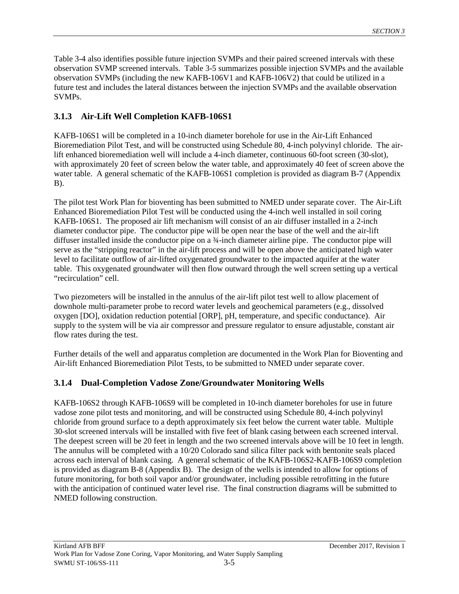Table 3-4 also identifies possible future injection SVMPs and their paired screened intervals with these observation SVMP screened intervals. Table 3-5 summarizes possible injection SVMPs and the available observation SVMPs (including the new KAFB-106V1 and KAFB-106V2) that could be utilized in a future test and includes the lateral distances between the injection SVMPs and the available observation SVMPs.

# <span id="page-24-0"></span>**3.1.3 Air-Lift Well Completion KAFB-106S1**

KAFB-106S1 will be completed in a 10-inch diameter borehole for use in the Air-Lift Enhanced Bioremediation Pilot Test, and will be constructed using Schedule 80, 4-inch polyvinyl chloride. The airlift enhanced bioremediation well will include a 4-inch diameter, continuous 60-foot screen (30-slot), with approximately 20 feet of screen below the water table, and approximately 40 feet of screen above the water table. A general schematic of the KAFB-106S1 completion is provided as diagram B-7 (Appendix B).

The pilot test Work Plan for bioventing has been submitted to NMED under separate cover. The Air-Lift Enhanced Bioremediation Pilot Test will be conducted using the 4-inch well installed in soil coring KAFB-106S1. The proposed air lift mechanism will consist of an air diffuser installed in a 2-inch diameter conductor pipe. The conductor pipe will be open near the base of the well and the air-lift diffuser installed inside the conductor pipe on a ¾-inch diameter airline pipe. The conductor pipe will serve as the "stripping reactor" in the air-lift process and will be open above the anticipated high water level to facilitate outflow of air-lifted oxygenated groundwater to the impacted aquifer at the water table. This oxygenated groundwater will then flow outward through the well screen setting up a vertical "recirculation" cell.

Two piezometers will be installed in the annulus of the air-lift pilot test well to allow placement of downhole multi-parameter probe to record water levels and geochemical parameters (e.g., dissolved oxygen [DO], oxidation reduction potential [ORP], pH, temperature, and specific conductance). Air supply to the system will be via air compressor and pressure regulator to ensure adjustable, constant air flow rates during the test.

Further details of the well and apparatus completion are documented in the Work Plan for Bioventing and Air-lift Enhanced Bioremediation Pilot Tests, to be submitted to NMED under separate cover.

## <span id="page-24-1"></span>**3.1.4 Dual-Completion Vadose Zone/Groundwater Monitoring Wells**

KAFB-106S2 through KAFB-106S9 will be completed in 10-inch diameter boreholes for use in future vadose zone pilot tests and monitoring, and will be constructed using Schedule 80, 4-inch polyvinyl chloride from ground surface to a depth approximately six feet below the current water table. Multiple 30-slot screened intervals will be installed with five feet of blank casing between each screened interval. The deepest screen will be 20 feet in length and the two screened intervals above will be 10 feet in length. The annulus will be completed with a 10/20 Colorado sand silica filter pack with bentonite seals placed across each interval of blank casing. A general schematic of the KAFB-106S2-KAFB-106S9 completion is provided as diagram B-8 (Appendix B). The design of the wells is intended to allow for options of future monitoring, for both soil vapor and/or groundwater, including possible retrofitting in the future with the anticipation of continued water level rise. The final construction diagrams will be submitted to NMED following construction.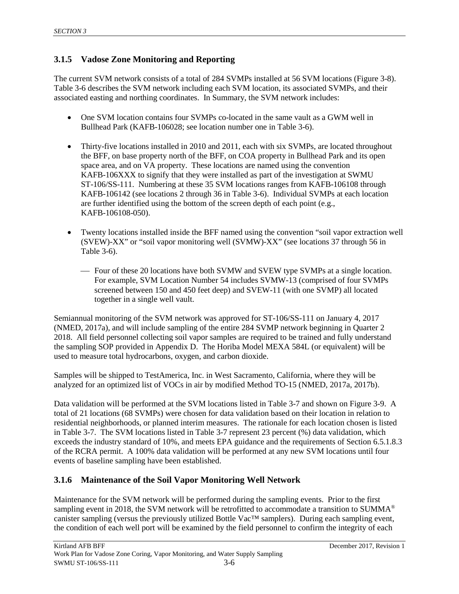# <span id="page-25-0"></span>**3.1.5 Vadose Zone Monitoring and Reporting**

The current SVM network consists of a total of 284 SVMPs installed at 56 SVM locations (Figure 3-8). Table 3-6 describes the SVM network including each SVM location, its associated SVMPs, and their associated easting and northing coordinates. In Summary, the SVM network includes:

- One SVM location contains four SVMPs co-located in the same vault as a GWM well in Bullhead Park (KAFB-106028; see location number one in Table 3-6).
- Thirty-five locations installed in 2010 and 2011, each with six SVMPs, are located throughout the BFF, on base property north of the BFF, on COA property in Bullhead Park and its open space area, and on VA property. These locations are named using the convention KAFB-106XXX to signify that they were installed as part of the investigation at SWMU ST-106/SS-111. Numbering at these 35 SVM locations ranges from KAFB-106108 through KAFB-106142 (see locations 2 through 36 in Table 3-6). Individual SVMPs at each location are further identified using the bottom of the screen depth of each point (e.g., KAFB-106108-050).
- Twenty locations installed inside the BFF named using the convention "soil vapor extraction well (SVEW)-XX" or "soil vapor monitoring well (SVMW)-XX" (see locations 37 through 56 in Table 3-6).
	- Four of these 20 locations have both SVMW and SVEW type SVMPs at a single location. For example, SVM Location Number 54 includes SVMW-13 (comprised of four SVMPs screened between 150 and 450 feet deep) and SVEW-11 (with one SVMP) all located together in a single well vault.

Semiannual monitoring of the SVM network was approved for ST-106/SS-111 on January 4, 2017 (NMED, 2017a), and will include sampling of the entire 284 SVMP network beginning in Quarter 2 2018. All field personnel collecting soil vapor samples are required to be trained and fully understand the sampling SOP provided in Appendix D. The Horiba Model MEXA 584L (or equivalent) will be used to measure total hydrocarbons, oxygen, and carbon dioxide.

Samples will be shipped to TestAmerica, Inc. in West Sacramento, California, where they will be analyzed for an optimized list of VOCs in air by modified Method TO-15 (NMED, 2017a, 2017b).

Data validation will be performed at the SVM locations listed in Table 3-7 and shown on Figure 3-9. A total of 21 locations (68 SVMPs) were chosen for data validation based on their location in relation to residential neighborhoods, or planned interim measures. The rationale for each location chosen is listed in Table 3-7. The SVM locations listed in Table 3-7 represent 23 percent (%) data validation, which exceeds the industry standard of 10%, and meets EPA guidance and the requirements of Section 6.5.1.8.3 of the RCRA permit. A 100% data validation will be performed at any new SVM locations until four events of baseline sampling have been established.

## <span id="page-25-1"></span>**3.1.6 Maintenance of the Soil Vapor Monitoring Well Network**

Maintenance for the SVM network will be performed during the sampling events. Prior to the first sampling event in 2018, the SVM network will be retrofitted to accommodate a transition to SUMMA<sup>®</sup> canister sampling (versus the previously utilized Bottle Vac™ samplers). During each sampling event, the condition of each well port will be examined by the field personnel to confirm the integrity of each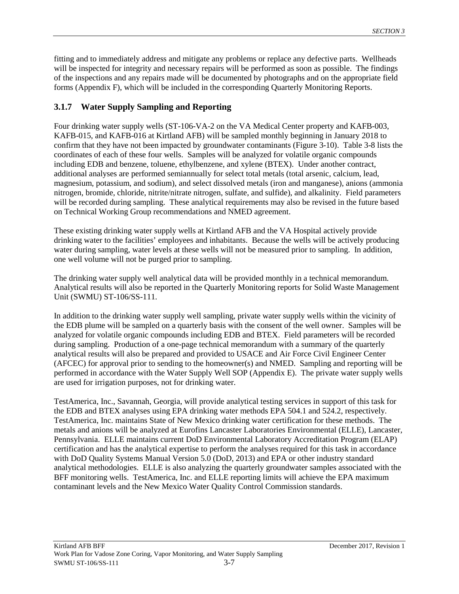fitting and to immediately address and mitigate any problems or replace any defective parts. Wellheads will be inspected for integrity and necessary repairs will be performed as soon as possible. The findings of the inspections and any repairs made will be documented by photographs and on the appropriate field forms (Appendix F), which will be included in the corresponding Quarterly Monitoring Reports.

# <span id="page-26-0"></span>**3.1.7 Water Supply Sampling and Reporting**

Four drinking water supply wells (ST-106-VA-2 on the VA Medical Center property and KAFB-003, KAFB-015, and KAFB-016 at Kirtland AFB) will be sampled monthly beginning in January 2018 to confirm that they have not been impacted by groundwater contaminants (Figure 3-10). Table 3-8 lists the coordinates of each of these four wells. Samples will be analyzed for volatile organic compounds including EDB and benzene, toluene, ethylbenzene, and xylene (BTEX). Under another contract, additional analyses are performed semiannually for select total metals (total arsenic, calcium, lead, magnesium, potassium, and sodium), and select dissolved metals (iron and manganese), anions (ammonia nitrogen, bromide, chloride, nitrite/nitrate nitrogen, sulfate, and sulfide), and alkalinity. Field parameters will be recorded during sampling. These analytical requirements may also be revised in the future based on Technical Working Group recommendations and NMED agreement.

These existing drinking water supply wells at Kirtland AFB and the VA Hospital actively provide drinking water to the facilities' employees and inhabitants. Because the wells will be actively producing water during sampling, water levels at these wells will not be measured prior to sampling. In addition, one well volume will not be purged prior to sampling.

The drinking water supply well analytical data will be provided monthly in a technical memorandum. Analytical results will also be reported in the Quarterly Monitoring reports for Solid Waste Management Unit (SWMU) ST-106/SS-111.

In addition to the drinking water supply well sampling, private water supply wells within the vicinity of the EDB plume will be sampled on a quarterly basis with the consent of the well owner. Samples will be analyzed for volatile organic compounds including EDB and BTEX. Field parameters will be recorded during sampling. Production of a one-page technical memorandum with a summary of the quarterly analytical results will also be prepared and provided to USACE and Air Force Civil Engineer Center (AFCEC) for approval prior to sending to the homeowner(s) and NMED. Sampling and reporting will be performed in accordance with the Water Supply Well SOP (Appendix E). The private water supply wells are used for irrigation purposes, not for drinking water.

TestAmerica, Inc., Savannah, Georgia, will provide analytical testing services in support of this task for the EDB and BTEX analyses using EPA drinking water methods EPA 504.1 and 524.2, respectively. TestAmerica, Inc. maintains State of New Mexico drinking water certification for these methods. The metals and anions will be analyzed at Eurofins Lancaster Laboratories Environmental (ELLE), Lancaster, Pennsylvania. ELLE maintains current DoD Environmental Laboratory Accreditation Program (ELAP) certification and has the analytical expertise to perform the analyses required for this task in accordance with DoD Quality Systems Manual Version 5.0 (DoD, 2013) and EPA or other industry standard analytical methodologies. ELLE is also analyzing the quarterly groundwater samples associated with the BFF monitoring wells. TestAmerica, Inc. and ELLE reporting limits will achieve the EPA maximum contaminant levels and the New Mexico Water Quality Control Commission standards.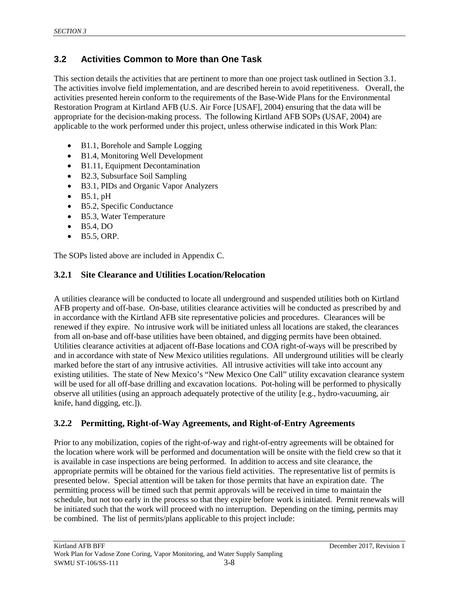# <span id="page-27-0"></span>**3.2 Activities Common to More than One Task**

This section details the activities that are pertinent to more than one project task outlined in Section 3.1. The activities involve field implementation, and are described herein to avoid repetitiveness. Overall, the activities presented herein conform to the requirements of the Base-Wide Plans for the Environmental Restoration Program at Kirtland AFB (U.S. Air Force [USAF], 2004) ensuring that the data will be appropriate for the decision-making process. The following Kirtland AFB SOPs (USAF, 2004) are applicable to the work performed under this project, unless otherwise indicated in this Work Plan:

- B1.1, Borehole and Sample Logging
- B1.4, Monitoring Well Development
- B1.11, Equipment Decontamination
- B2.3, Subsurface Soil Sampling
- B3.1, PIDs and Organic Vapor Analyzers
- $\bullet$  B5.1, pH
- B5.2, Specific Conductance
- B5.3, Water Temperature
- B5.4, DO
- $\bullet$  B5.5, ORP.

The SOPs listed above are included in Appendix C.

#### <span id="page-27-1"></span>**3.2.1 Site Clearance and Utilities Location/Relocation**

A utilities clearance will be conducted to locate all underground and suspended utilities both on Kirtland AFB property and off-base. On-base, utilities clearance activities will be conducted as prescribed by and in accordance with the Kirtland AFB site representative policies and procedures. Clearances will be renewed if they expire. No intrusive work will be initiated unless all locations are staked, the clearances from all on-base and off-base utilities have been obtained, and digging permits have been obtained. Utilities clearance activities at adjacent off-Base locations and COA right-of-ways will be prescribed by and in accordance with state of New Mexico utilities regulations. All underground utilities will be clearly marked before the start of any intrusive activities. All intrusive activities will take into account any existing utilities. The state of New Mexico's "New Mexico One Call" utility excavation clearance system will be used for all off-base drilling and excavation locations. Pot-holing will be performed to physically observe all utilities (using an approach adequately protective of the utility [e.g., hydro-vacuuming, air knife, hand digging, etc.]).

## <span id="page-27-2"></span>**3.2.2 Permitting, Right-of-Way Agreements, and Right-of-Entry Agreements**

Prior to any mobilization, copies of the right-of-way and right-of-entry agreements will be obtained for the location where work will be performed and documentation will be onsite with the field crew so that it is available in case inspections are being performed. In addition to access and site clearance, the appropriate permits will be obtained for the various field activities. The representative list of permits is presented below. Special attention will be taken for those permits that have an expiration date. The permitting process will be timed such that permit approvals will be received in time to maintain the schedule, but not too early in the process so that they expire before work is initiated. Permit renewals will be initiated such that the work will proceed with no interruption. Depending on the timing, permits may be combined. The list of permits/plans applicable to this project include: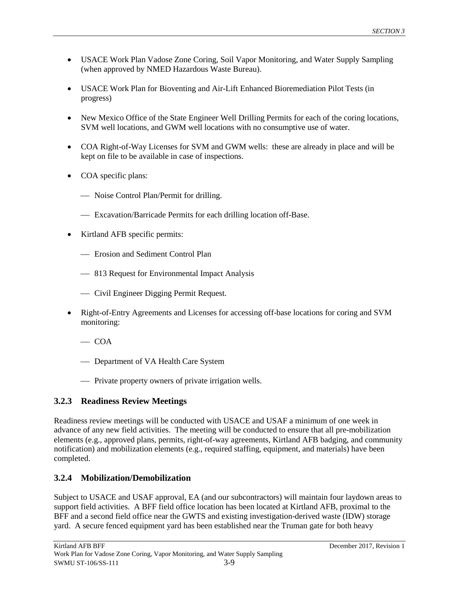- USACE Work Plan Vadose Zone Coring, Soil Vapor Monitoring, and Water Supply Sampling (when approved by NMED Hazardous Waste Bureau).
- USACE Work Plan for Bioventing and Air-Lift Enhanced Bioremediation Pilot Tests (in progress)
- New Mexico Office of the State Engineer Well Drilling Permits for each of the coring locations, SVM well locations, and GWM well locations with no consumptive use of water.
- COA Right-of-Way Licenses for SVM and GWM wells: these are already in place and will be kept on file to be available in case of inspections.
- COA specific plans:
	- Noise Control Plan/Permit for drilling.
	- Excavation/Barricade Permits for each drilling location off-Base.
- Kirtland AFB specific permits:
	- Erosion and Sediment Control Plan
	- 813 Request for Environmental Impact Analysis
	- Civil Engineer Digging Permit Request.
- Right-of-Entry Agreements and Licenses for accessing off-base locations for coring and SVM monitoring:
	- $\sim$  COA
	- Department of VA Health Care System
	- Private property owners of private irrigation wells.

## <span id="page-28-0"></span>**3.2.3 Readiness Review Meetings**

Readiness review meetings will be conducted with USACE and USAF a minimum of one week in advance of any new field activities. The meeting will be conducted to ensure that all pre-mobilization elements (e.g., approved plans, permits, right-of-way agreements, Kirtland AFB badging, and community notification) and mobilization elements (e.g., required staffing, equipment, and materials) have been completed.

## <span id="page-28-1"></span>**3.2.4 Mobilization/Demobilization**

Subject to USACE and USAF approval, EA (and our subcontractors) will maintain four laydown areas to support field activities. A BFF field office location has been located at Kirtland AFB, proximal to the BFF and a second field office near the GWTS and existing investigation-derived waste (IDW) storage yard. A secure fenced equipment yard has been established near the Truman gate for both heavy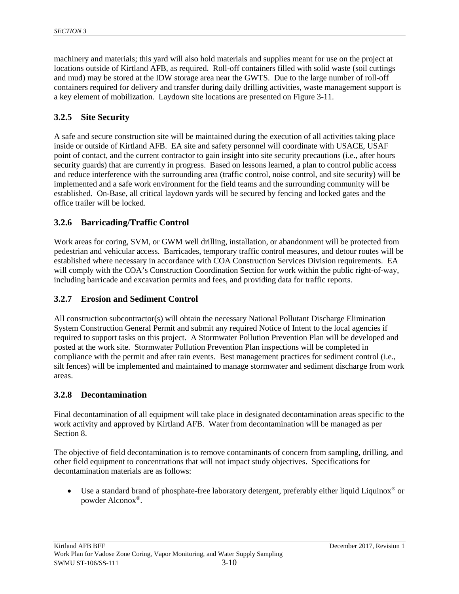machinery and materials; this yard will also hold materials and supplies meant for use on the project at locations outside of Kirtland AFB, as required. Roll-off containers filled with solid waste (soil cuttings and mud) may be stored at the IDW storage area near the GWTS. Due to the large number of roll-off containers required for delivery and transfer during daily drilling activities, waste management support is a key element of mobilization. Laydown site locations are presented on Figure 3-11.

### <span id="page-29-0"></span>**3.2.5 Site Security**

A safe and secure construction site will be maintained during the execution of all activities taking place inside or outside of Kirtland AFB. EA site and safety personnel will coordinate with USACE, USAF point of contact, and the current contractor to gain insight into site security precautions (i.e., after hours security guards) that are currently in progress. Based on lessons learned, a plan to control public access and reduce interference with the surrounding area (traffic control, noise control, and site security) will be implemented and a safe work environment for the field teams and the surrounding community will be established. On-Base, all critical laydown yards will be secured by fencing and locked gates and the office trailer will be locked.

#### <span id="page-29-1"></span>**3.2.6 Barricading/Traffic Control**

Work areas for coring, SVM, or GWM well drilling, installation, or abandonment will be protected from pedestrian and vehicular access. Barricades, temporary traffic control measures, and detour routes will be established where necessary in accordance with COA Construction Services Division requirements. EA will comply with the COA's Construction Coordination Section for work within the public right-of-way, including barricade and excavation permits and fees, and providing data for traffic reports.

#### <span id="page-29-2"></span>**3.2.7 Erosion and Sediment Control**

All construction subcontractor(s) will obtain the necessary National Pollutant Discharge Elimination System Construction General Permit and submit any required Notice of Intent to the local agencies if required to support tasks on this project. A Stormwater Pollution Prevention Plan will be developed and posted at the work site. Stormwater Pollution Prevention Plan inspections will be completed in compliance with the permit and after rain events. Best management practices for sediment control (i.e., silt fences) will be implemented and maintained to manage stormwater and sediment discharge from work areas.

#### <span id="page-29-3"></span>**3.2.8 Decontamination**

Final decontamination of all equipment will take place in designated decontamination areas specific to the work activity and approved by Kirtland AFB. Water from decontamination will be managed as per Section 8.

The objective of field decontamination is to remove contaminants of concern from sampling, drilling, and other field equipment to concentrations that will not impact study objectives. Specifications for decontamination materials are as follows:

Use a standard brand of phosphate-free laboratory detergent, preferably either liquid Liquinox<sup>®</sup> or powder Alconox®.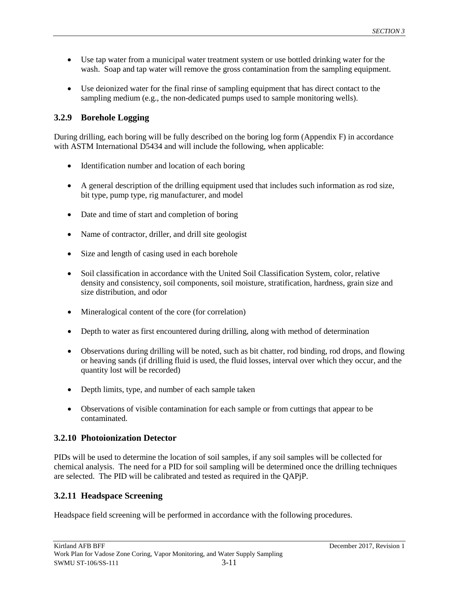- Use tap water from a municipal water treatment system or use bottled drinking water for the wash. Soap and tap water will remove the gross contamination from the sampling equipment.
- Use deionized water for the final rinse of sampling equipment that has direct contact to the sampling medium (e.g., the non-dedicated pumps used to sample monitoring wells).

### <span id="page-30-0"></span>**3.2.9 Borehole Logging**

During drilling, each boring will be fully described on the boring log form (Appendix F) in accordance with ASTM International D5434 and will include the following, when applicable:

- Identification number and location of each boring
- A general description of the drilling equipment used that includes such information as rod size, bit type, pump type, rig manufacturer, and model
- Date and time of start and completion of boring
- Name of contractor, driller, and drill site geologist
- Size and length of casing used in each borehole
- Soil classification in accordance with the United Soil Classification System, color, relative density and consistency, soil components, soil moisture, stratification, hardness, grain size and size distribution, and odor
- Mineralogical content of the core (for correlation)
- Depth to water as first encountered during drilling, along with method of determination
- Observations during drilling will be noted, such as bit chatter, rod binding, rod drops, and flowing or heaving sands (if drilling fluid is used, the fluid losses, interval over which they occur, and the quantity lost will be recorded)
- Depth limits, type, and number of each sample taken
- Observations of visible contamination for each sample or from cuttings that appear to be contaminated.

#### <span id="page-30-1"></span>**3.2.10 Photoionization Detector**

PIDs will be used to determine the location of soil samples, if any soil samples will be collected for chemical analysis. The need for a PID for soil sampling will be determined once the drilling techniques are selected. The PID will be calibrated and tested as required in the QAPjP.

## <span id="page-30-2"></span>**3.2.11 Headspace Screening**

Headspace field screening will be performed in accordance with the following procedures.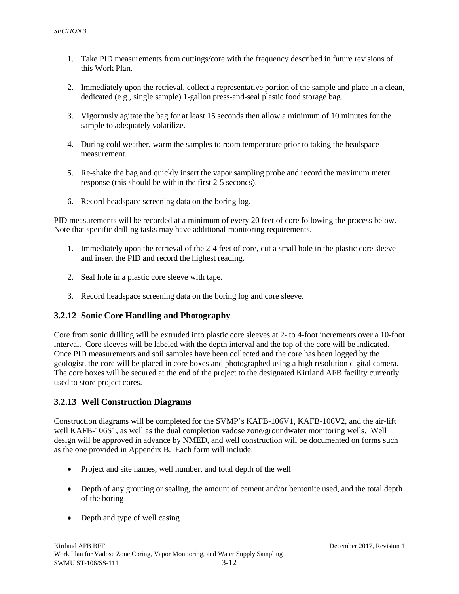- 1. Take PID measurements from cuttings/core with the frequency described in future revisions of this Work Plan.
- 2. Immediately upon the retrieval, collect a representative portion of the sample and place in a clean, dedicated (e.g., single sample) 1-gallon press-and-seal plastic food storage bag.
- 3. Vigorously agitate the bag for at least 15 seconds then allow a minimum of 10 minutes for the sample to adequately volatilize.
- 4. During cold weather, warm the samples to room temperature prior to taking the headspace measurement.
- 5. Re-shake the bag and quickly insert the vapor sampling probe and record the maximum meter response (this should be within the first 2-5 seconds).
- 6. Record headspace screening data on the boring log.

PID measurements will be recorded at a minimum of every 20 feet of core following the process below. Note that specific drilling tasks may have additional monitoring requirements.

- 1. Immediately upon the retrieval of the 2-4 feet of core, cut a small hole in the plastic core sleeve and insert the PID and record the highest reading.
- 2. Seal hole in a plastic core sleeve with tape.
- 3. Record headspace screening data on the boring log and core sleeve.

#### <span id="page-31-0"></span>**3.2.12 Sonic Core Handling and Photography**

Core from sonic drilling will be extruded into plastic core sleeves at 2- to 4-foot increments over a 10-foot interval. Core sleeves will be labeled with the depth interval and the top of the core will be indicated. Once PID measurements and soil samples have been collected and the core has been logged by the geologist, the core will be placed in core boxes and photographed using a high resolution digital camera. The core boxes will be secured at the end of the project to the designated Kirtland AFB facility currently used to store project cores.

#### <span id="page-31-1"></span>**3.2.13 Well Construction Diagrams**

Construction diagrams will be completed for the SVMP's KAFB-106V1, KAFB-106V2, and the air-lift well KAFB-106S1, as well as the dual completion vadose zone/groundwater monitoring wells. Well design will be approved in advance by NMED, and well construction will be documented on forms such as the one provided in Appendix B. Each form will include:

- Project and site names, well number, and total depth of the well
- Depth of any grouting or sealing, the amount of cement and/or bentonite used, and the total depth of the boring
- Depth and type of well casing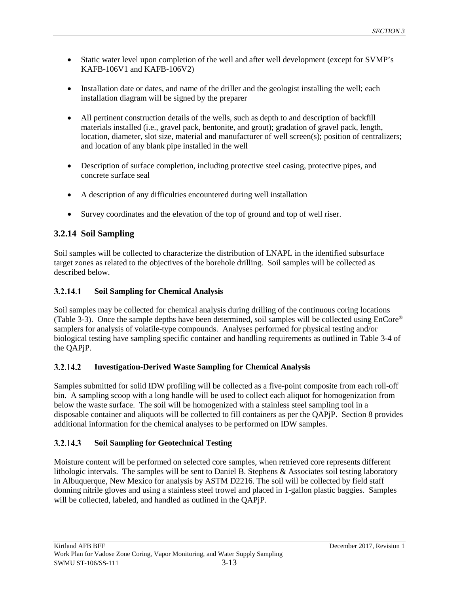- Static water level upon completion of the well and after well development (except for SVMP's KAFB-106V1 and KAFB-106V2)
- Installation date or dates, and name of the driller and the geologist installing the well; each installation diagram will be signed by the preparer
- All pertinent construction details of the wells, such as depth to and description of backfill materials installed (i.e., gravel pack, bentonite, and grout); gradation of gravel pack, length, location, diameter, slot size, material and manufacturer of well screen(s); position of centralizers; and location of any blank pipe installed in the well
- Description of surface completion, including protective steel casing, protective pipes, and concrete surface seal
- A description of any difficulties encountered during well installation
- Survey coordinates and the elevation of the top of ground and top of well riser.

## <span id="page-32-0"></span>**3.2.14 Soil Sampling**

Soil samples will be collected to characterize the distribution of LNAPL in the identified subsurface target zones as related to the objectives of the borehole drilling. Soil samples will be collected as described below.

#### 3.2.14.1 **Soil Sampling for Chemical Analysis**

Soil samples may be collected for chemical analysis during drilling of the continuous coring locations (Table 3-3). Once the sample depths have been determined, soil samples will be collected using EnCore® samplers for analysis of volatile-type compounds. Analyses performed for physical testing and/or biological testing have sampling specific container and handling requirements as outlined in Table 3-4 of the QAPjP.

#### 3.2.14.2 **Investigation-Derived Waste Sampling for Chemical Analysis**

Samples submitted for solid IDW profiling will be collected as a five-point composite from each roll-off bin. A sampling scoop with a long handle will be used to collect each aliquot for homogenization from below the waste surface. The soil will be homogenized with a stainless steel sampling tool in a disposable container and aliquots will be collected to fill containers as per the QAPjP. Section 8 provides additional information for the chemical analyses to be performed on IDW samples.

#### 3.2.14.3 **Soil Sampling for Geotechnical Testing**

Moisture content will be performed on selected core samples, when retrieved core represents different lithologic intervals. The samples will be sent to Daniel B. Stephens & Associates soil testing laboratory in Albuquerque, New Mexico for analysis by ASTM D2216. The soil will be collected by field staff donning nitrile gloves and using a stainless steel trowel and placed in 1-gallon plastic baggies. Samples will be collected, labeled, and handled as outlined in the QAPjP.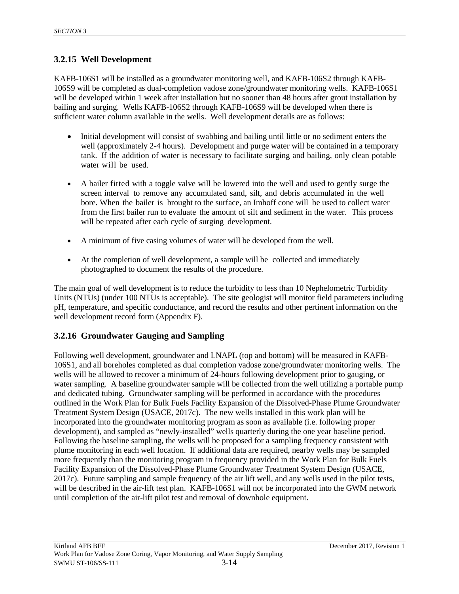## <span id="page-33-0"></span>**3.2.15 Well Development**

KAFB-106S1 will be installed as a groundwater monitoring well, and KAFB-106S2 through KAFB-106S9 will be completed as dual-completion vadose zone/groundwater monitoring wells. KAFB-106S1 will be developed within 1 week after installation but no sooner than 48 hours after grout installation by bailing and surging. Wells KAFB-106S2 through KAFB-106S9 will be developed when there is sufficient water column available in the wells. Well development details are as follows:

- Initial development will consist of swabbing and bailing until little or no sediment enters the well (approximately 2-4 hours). Development and purge water will be contained in a temporary tank. If the addition of water is necessary to facilitate surging and bailing, only clean potable water will be used.
- A bailer fitted with a toggle valve will be lowered into the well and used to gently surge the screen interval to remove any accumulated sand, silt, and debris accumulated in the well bore. When the bailer is brought to the surface, an Imhoff cone will be used to collect water from the first bailer run to evaluate the amount of silt and sediment in the water. This process will be repeated after each cycle of surging development.
- A minimum of five casing volumes of water will be developed from the well.
- At the completion of well development, a sample will be collected and immediately photographed to document the results of the procedure.

The main goal of well development is to reduce the turbidity to less than 10 Nephelometric Turbidity Units (NTUs) (under 100 NTUs is acceptable). The site geologist will monitor field parameters including pH, temperature, and specific conductance, and record the results and other pertinent information on the well development record form (Appendix F).

## <span id="page-33-1"></span>**3.2.16 Groundwater Gauging and Sampling**

Following well development, groundwater and LNAPL (top and bottom) will be measured in KAFB-106S1, and all boreholes completed as dual completion vadose zone/groundwater monitoring wells. The wells will be allowed to recover a minimum of 24-hours following development prior to gauging, or water sampling. A baseline groundwater sample will be collected from the well utilizing a portable pump and dedicated tubing. Groundwater sampling will be performed in accordance with the procedures outlined in the Work Plan for Bulk Fuels Facility Expansion of the Dissolved-Phase Plume Groundwater Treatment System Design (USACE, 2017c). The new wells installed in this work plan will be incorporated into the groundwater monitoring program as soon as available (i.e. following proper development), and sampled as "newly-installed" wells quarterly during the one year baseline period. Following the baseline sampling, the wells will be proposed for a sampling frequency consistent with plume monitoring in each well location. If additional data are required, nearby wells may be sampled more frequently than the monitoring program in frequency provided in the Work Plan for Bulk Fuels Facility Expansion of the Dissolved-Phase Plume Groundwater Treatment System Design (USACE, 2017c). Future sampling and sample frequency of the air lift well, and any wells used in the pilot tests, will be described in the air-lift test plan. KAFB-106S1 will not be incorporated into the GWM network until completion of the air-lift pilot test and removal of downhole equipment.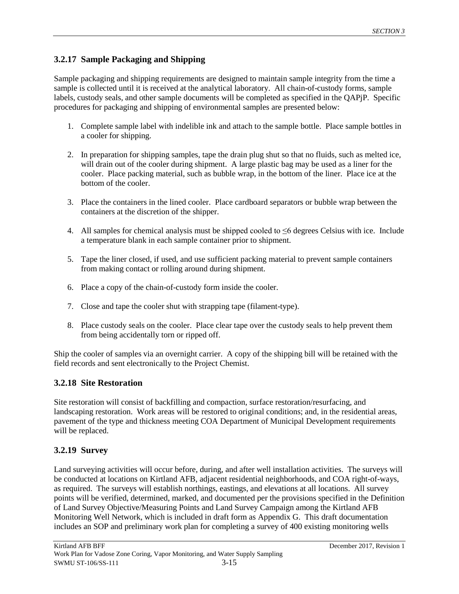## <span id="page-34-0"></span>**3.2.17 Sample Packaging and Shipping**

Sample packaging and shipping requirements are designed to maintain sample integrity from the time a sample is collected until it is received at the analytical laboratory. All chain-of-custody forms, sample labels, custody seals, and other sample documents will be completed as specified in the QAPjP. Specific procedures for packaging and shipping of environmental samples are presented below:

- 1. Complete sample label with indelible ink and attach to the sample bottle. Place sample bottles in a cooler for shipping.
- 2. In preparation for shipping samples, tape the drain plug shut so that no fluids, such as melted ice, will drain out of the cooler during shipment. A large plastic bag may be used as a liner for the cooler. Place packing material, such as bubble wrap, in the bottom of the liner. Place ice at the bottom of the cooler.
- 3. Place the containers in the lined cooler. Place cardboard separators or bubble wrap between the containers at the discretion of the shipper.
- 4. All samples for chemical analysis must be shipped cooled to ≤6 degrees Celsius with ice. Include a temperature blank in each sample container prior to shipment.
- 5. Tape the liner closed, if used, and use sufficient packing material to prevent sample containers from making contact or rolling around during shipment.
- 6. Place a copy of the chain-of-custody form inside the cooler.
- 7. Close and tape the cooler shut with strapping tape (filament-type).
- 8. Place custody seals on the cooler. Place clear tape over the custody seals to help prevent them from being accidentally torn or ripped off.

Ship the cooler of samples via an overnight carrier. A copy of the shipping bill will be retained with the field records and sent electronically to the Project Chemist.

#### <span id="page-34-1"></span>**3.2.18 Site Restoration**

Site restoration will consist of backfilling and compaction, surface restoration/resurfacing, and landscaping restoration. Work areas will be restored to original conditions; and, in the residential areas, pavement of the type and thickness meeting COA Department of Municipal Development requirements will be replaced.

## <span id="page-34-2"></span>**3.2.19 Survey**

Land surveying activities will occur before, during, and after well installation activities. The surveys will be conducted at locations on Kirtland AFB, adjacent residential neighborhoods, and COA right-of-ways, as required. The surveys will establish northings, eastings, and elevations at all locations. All survey points will be verified, determined, marked, and documented per the provisions specified in the Definition of Land Survey Objective/Measuring Points and Land Survey Campaign among the Kirtland AFB Monitoring Well Network, which is included in draft form as Appendix G. This draft documentation includes an SOP and preliminary work plan for completing a survey of 400 existing monitoring wells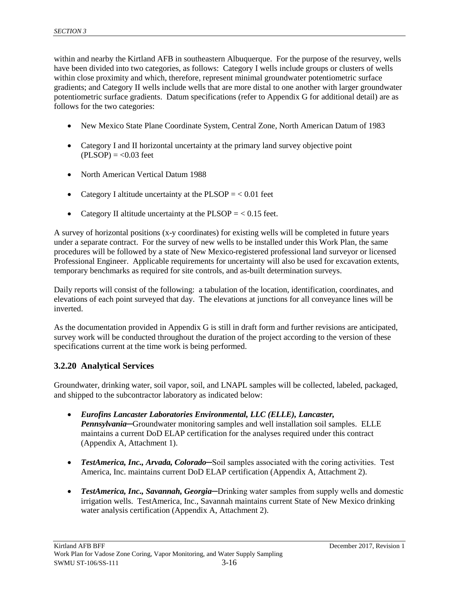within and nearby the Kirtland AFB in southeastern Albuquerque. For the purpose of the resurvey, wells have been divided into two categories, as follows: Category I wells include groups or clusters of wells within close proximity and which, therefore, represent minimal groundwater potentiometric surface gradients; and Category II wells include wells that are more distal to one another with larger groundwater potentiometric surface gradients. Datum specifications (refer to Appendix G for additional detail) are as follows for the two categories:

- New Mexico State Plane Coordinate System, Central Zone, North American Datum of 1983
- Category I and II horizontal uncertainty at the primary land survey objective point  $(PLSOP) = <0.03$  feet
- North American Vertical Datum 1988
- Category I altitude uncertainty at the  $PLSOP = < 0.01$  feet
- Category II altitude uncertainty at the  $PLSOP = < 0.15$  feet.

A survey of horizontal positions (x-y coordinates) for existing wells will be completed in future years under a separate contract. For the survey of new wells to be installed under this Work Plan, the same procedures will be followed by a state of New Mexico-registered professional land surveyor or licensed Professional Engineer. Applicable requirements for uncertainty will also be used for excavation extents, temporary benchmarks as required for site controls, and as-built determination surveys.

Daily reports will consist of the following: a tabulation of the location, identification, coordinates, and elevations of each point surveyed that day. The elevations at junctions for all conveyance lines will be inverted.

As the documentation provided in Appendix G is still in draft form and further revisions are anticipated, survey work will be conducted throughout the duration of the project according to the version of these specifications current at the time work is being performed.

#### <span id="page-35-0"></span>**3.2.20 Analytical Services**

Groundwater, drinking water, soil vapor, soil, and LNAPL samples will be collected, labeled, packaged, and shipped to the subcontractor laboratory as indicated below:

- *Eurofins Lancaster Laboratories Environmental, LLC (ELLE), Lancaster, Pennsylvania*─Groundwater monitoring samples and well installation soil samples. ELLE maintains a current DoD ELAP certification for the analyses required under this contract (Appendix A, Attachment 1).
- *TestAmerica, Inc., Arvada, Colorado***—Soil samples associated with the coring activities. Test** America, Inc. maintains current DoD ELAP certification (Appendix A, Attachment 2).
- *TestAmerica, Inc., Savannah, Georgia***—Drinking water samples from supply wells and domestic** irrigation wells. TestAmerica, Inc., Savannah maintains current State of New Mexico drinking water analysis certification (Appendix A, Attachment 2).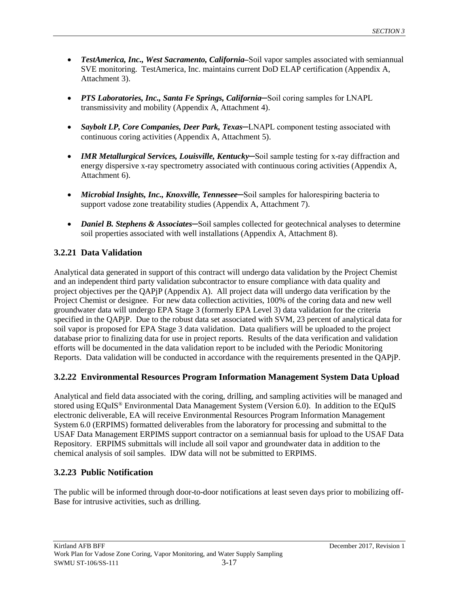- *TestAmerica, Inc., West Sacramento, California–*Soil vapor samples associated with semiannual SVE monitoring. TestAmerica, Inc. maintains current DoD ELAP certification (Appendix A, Attachment 3).
- *PTS Laboratories, Inc., Santa Fe Springs, California*—Soil coring samples for LNAPL transmissivity and mobility (Appendix A, Attachment 4).
- *Saybolt LP, Core Companies, Deer Park, Texas*—LNAPL component testing associated with continuous coring activities (Appendix A, Attachment 5).
- *IMR Metallurgical Services, Louisville, Kentucky*—Soil sample testing for x-ray diffraction and energy dispersive x-ray spectrometry associated with continuous coring activities (Appendix A, Attachment 6).
- *Microbial Insights, Inc., Knoxville, Tennessee*—Soil samples for halorespiring bacteria to support vadose zone treatability studies (Appendix A, Attachment 7).
- *Daniel B. Stephens & Associates*—Soil samples collected for geotechnical analyses to determine soil properties associated with well installations (Appendix A, Attachment 8).

### **3.2.21 Data Validation**

Analytical data generated in support of this contract will undergo data validation by the Project Chemist and an independent third party validation subcontractor to ensure compliance with data quality and project objectives per the QAPjP (Appendix A). All project data will undergo data verification by the Project Chemist or designee. For new data collection activities, 100% of the coring data and new well groundwater data will undergo EPA Stage 3 (formerly EPA Level 3) data validation for the criteria specified in the QAPjP. Due to the robust data set associated with SVM, 23 percent of analytical data for soil vapor is proposed for EPA Stage 3 data validation. Data qualifiers will be uploaded to the project database prior to finalizing data for use in project reports. Results of the data verification and validation efforts will be documented in the data validation report to be included with the Periodic Monitoring Reports. Data validation will be conducted in accordance with the requirements presented in the QAPjP.

### **3.2.22 Environmental Resources Program Information Management System Data Upload**

Analytical and field data associated with the coring, drilling, and sampling activities will be managed and stored using EQuIS® Environmental Data Management System (Version 6.0). In addition to the EQuIS electronic deliverable, EA will receive Environmental Resources Program Information Management System 6.0 (ERPIMS) formatted deliverables from the laboratory for processing and submittal to the USAF Data Management ERPIMS support contractor on a semiannual basis for upload to the USAF Data Repository. ERPIMS submittals will include all soil vapor and groundwater data in addition to the chemical analysis of soil samples. IDW data will not be submitted to ERPIMS.

### **3.2.23 Public Notification**

The public will be informed through door-to-door notifications at least seven days prior to mobilizing off-Base for intrusive activities, such as drilling.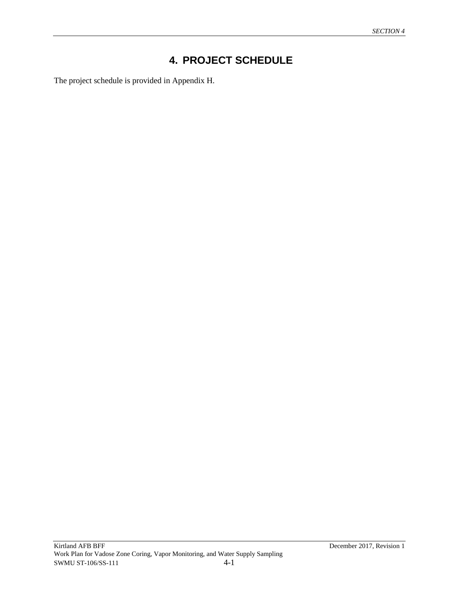# **4. PROJECT SCHEDULE**

The project schedule is provided in Appendix H.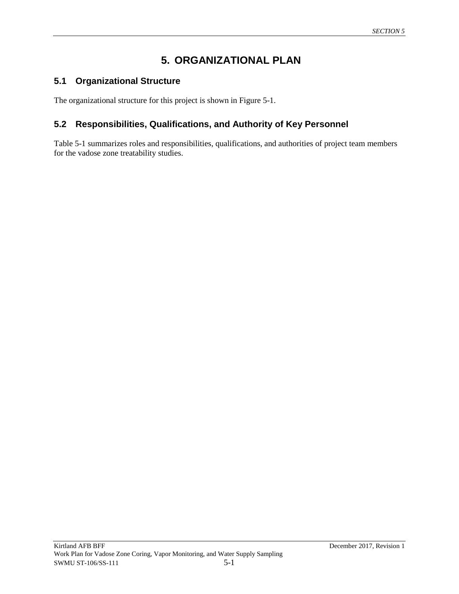# **5. ORGANIZATIONAL PLAN**

### **5.1 Organizational Structure**

The organizational structure for this project is shown in Figure 5-1.

### **5.2 Responsibilities, Qualifications, and Authority of Key Personnel**

Table 5-1 summarizes roles and responsibilities, qualifications, and authorities of project team members for the vadose zone treatability studies.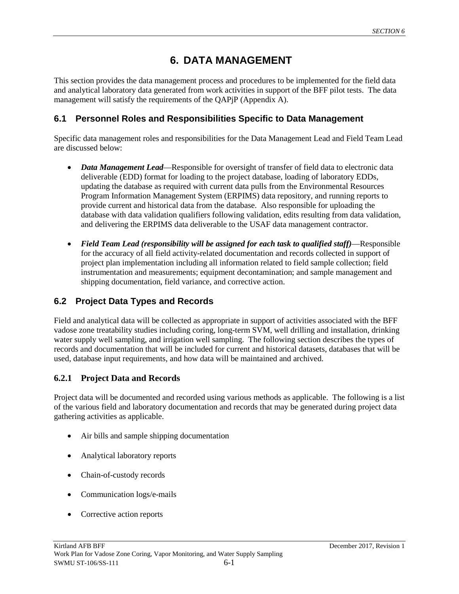# **6. DATA MANAGEMENT**

This section provides the data management process and procedures to be implemented for the field data and analytical laboratory data generated from work activities in support of the BFF pilot tests. The data management will satisfy the requirements of the QAPjP (Appendix A).

### **6.1 Personnel Roles and Responsibilities Specific to Data Management**

Specific data management roles and responsibilities for the Data Management Lead and Field Team Lead are discussed below:

- *Data Management Lead*—Responsible for oversight of transfer of field data to electronic data deliverable (EDD) format for loading to the project database, loading of laboratory EDDs, updating the database as required with current data pulls from the Environmental Resources Program Information Management System (ERPIMS) data repository, and running reports to provide current and historical data from the database. Also responsible for uploading the database with data validation qualifiers following validation, edits resulting from data validation, and delivering the ERPIMS data deliverable to the USAF data management contractor.
- *Field Team Lead (responsibility will be assigned for each task to qualified staff)*—Responsible for the accuracy of all field activity-related documentation and records collected in support of project plan implementation including all information related to field sample collection; field instrumentation and measurements; equipment decontamination; and sample management and shipping documentation, field variance, and corrective action.

### **6.2 Project Data Types and Records**

Field and analytical data will be collected as appropriate in support of activities associated with the BFF vadose zone treatability studies including coring, long-term SVM, well drilling and installation, drinking water supply well sampling, and irrigation well sampling. The following section describes the types of records and documentation that will be included for current and historical datasets, databases that will be used, database input requirements, and how data will be maintained and archived.

### **6.2.1 Project Data and Records**

Project data will be documented and recorded using various methods as applicable. The following is a list of the various field and laboratory documentation and records that may be generated during project data gathering activities as applicable.

- Air bills and sample shipping documentation
- Analytical laboratory reports
- Chain-of-custody records
- Communication logs/e-mails
- Corrective action reports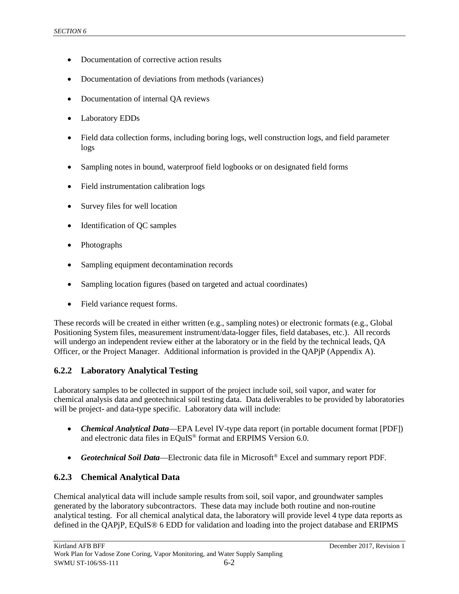- Documentation of corrective action results
- Documentation of deviations from methods (variances)
- Documentation of internal QA reviews
- Laboratory EDDs
- Field data collection forms, including boring logs, well construction logs, and field parameter logs
- Sampling notes in bound, waterproof field logbooks or on designated field forms
- Field instrumentation calibration logs
- Survey files for well location
- Identification of QC samples
- Photographs
- Sampling equipment decontamination records
- Sampling location figures (based on targeted and actual coordinates)
- Field variance request forms.

These records will be created in either written (e.g., sampling notes) or electronic formats (e.g., Global Positioning System files, measurement instrument/data-logger files, field databases, etc.). All records will undergo an independent review either at the laboratory or in the field by the technical leads, QA Officer, or the Project Manager. Additional information is provided in the QAPjP (Appendix A).

### **6.2.2 Laboratory Analytical Testing**

Laboratory samples to be collected in support of the project include soil, soil vapor, and water for chemical analysis data and geotechnical soil testing data. Data deliverables to be provided by laboratories will be project- and data-type specific. Laboratory data will include:

- *Chemical Analytical Data*—EPA Level IV-type data report (in portable document format [PDF]) and electronic data files in EQuIS® format and ERPIMS Version 6.0.
- *Geotechnical Soil Data*—Electronic data file in Microsoft® Excel and summary report PDF.

### **6.2.3 Chemical Analytical Data**

Chemical analytical data will include sample results from soil, soil vapor, and groundwater samples generated by the laboratory subcontractors. These data may include both routine and non-routine analytical testing. For all chemical analytical data, the laboratory will provide level 4 type data reports as defined in the QAPjP, EQuIS® 6 EDD for validation and loading into the project database and ERIPMS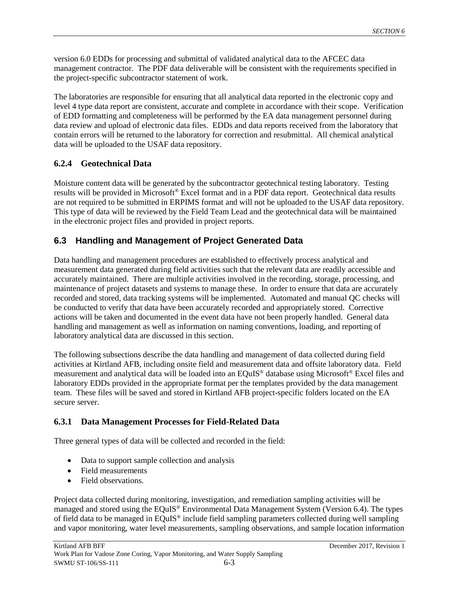version 6.0 EDDs for processing and submittal of validated analytical data to the AFCEC data management contractor. The PDF data deliverable will be consistent with the requirements specified in the project-specific subcontractor statement of work.

The laboratories are responsible for ensuring that all analytical data reported in the electronic copy and level 4 type data report are consistent, accurate and complete in accordance with their scope. Verification of EDD formatting and completeness will be performed by the EA data management personnel during data review and upload of electronic data files. EDDs and data reports received from the laboratory that contain errors will be returned to the laboratory for correction and resubmittal. All chemical analytical data will be uploaded to the USAF data repository.

### **6.2.4 Geotechnical Data**

Moisture content data will be generated by the subcontractor geotechnical testing laboratory. Testing results will be provided in Microsoft® Excel format and in a PDF data report. Geotechnical data results are not required to be submitted in ERPIMS format and will not be uploaded to the USAF data repository. This type of data will be reviewed by the Field Team Lead and the geotechnical data will be maintained in the electronic project files and provided in project reports.

### **6.3 Handling and Management of Project Generated Data**

Data handling and management procedures are established to effectively process analytical and measurement data generated during field activities such that the relevant data are readily accessible and accurately maintained. There are multiple activities involved in the recording, storage, processing, and maintenance of project datasets and systems to manage these. In order to ensure that data are accurately recorded and stored, data tracking systems will be implemented. Automated and manual QC checks will be conducted to verify that data have been accurately recorded and appropriately stored. Corrective actions will be taken and documented in the event data have not been properly handled. General data handling and management as well as information on naming conventions, loading, and reporting of laboratory analytical data are discussed in this section.

The following subsections describe the data handling and management of data collected during field activities at Kirtland AFB, including onsite field and measurement data and offsite laboratory data. Field measurement and analytical data will be loaded into an EQuIS® database using Microsoft® Excel files and laboratory EDDs provided in the appropriate format per the templates provided by the data management team. These files will be saved and stored in Kirtland AFB project-specific folders located on the EA secure server.

### **6.3.1 Data Management Processes for Field-Related Data**

Three general types of data will be collected and recorded in the field:

- Data to support sample collection and analysis
- Field measurements
- Field observations.

Project data collected during monitoring, investigation, and remediation sampling activities will be managed and stored using the EQuIS® Environmental Data Management System (Version 6.4). The types of field data to be managed in EQuIS® include field sampling parameters collected during well sampling and vapor monitoring, water level measurements, sampling observations, and sample location information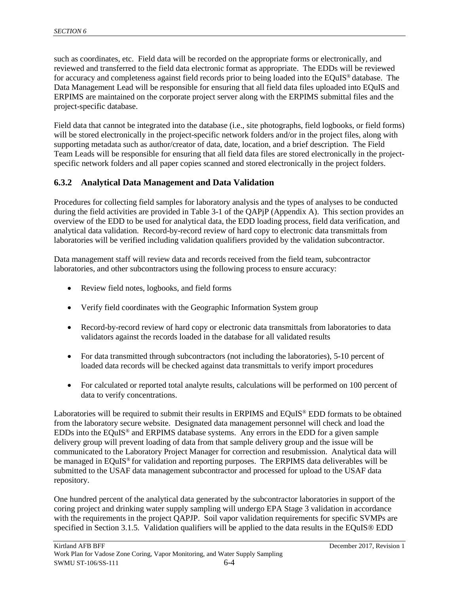such as coordinates, etc. Field data will be recorded on the appropriate forms or electronically, and reviewed and transferred to the field data electronic format as appropriate. The EDDs will be reviewed for accuracy and completeness against field records prior to being loaded into the EQuIS® database. The Data Management Lead will be responsible for ensuring that all field data files uploaded into EQuIS and ERPIMS are maintained on the corporate project server along with the ERPIMS submittal files and the project-specific database.

Field data that cannot be integrated into the database (i.e., site photographs, field logbooks, or field forms) will be stored electronically in the project-specific network folders and/or in the project files, along with supporting metadata such as author/creator of data, date, location, and a brief description. The Field Team Leads will be responsible for ensuring that all field data files are stored electronically in the projectspecific network folders and all paper copies scanned and stored electronically in the project folders.

### **6.3.2 Analytical Data Management and Data Validation**

Procedures for collecting field samples for laboratory analysis and the types of analyses to be conducted during the field activities are provided in Table 3-1 of the QAPjP (Appendix A). This section provides an overview of the EDD to be used for analytical data, the EDD loading process, field data verification, and analytical data validation. Record-by-record review of hard copy to electronic data transmittals from laboratories will be verified including validation qualifiers provided by the validation subcontractor.

Data management staff will review data and records received from the field team, subcontractor laboratories, and other subcontractors using the following process to ensure accuracy:

- Review field notes, logbooks, and field forms
- Verify field coordinates with the Geographic Information System group
- Record-by-record review of hard copy or electronic data transmittals from laboratories to data validators against the records loaded in the database for all validated results
- For data transmitted through subcontractors (not including the laboratories), 5-10 percent of loaded data records will be checked against data transmittals to verify import procedures
- For calculated or reported total analyte results, calculations will be performed on 100 percent of data to verify concentrations.

Laboratories will be required to submit their results in ERPIMS and EQuIS® EDD formats to be obtained from the laboratory secure website. Designated data management personnel will check and load the EDDs into the EQuIS® and ERPIMS database systems. Any errors in the EDD for a given sample delivery group will prevent loading of data from that sample delivery group and the issue will be communicated to the Laboratory Project Manager for correction and resubmission. Analytical data will be managed in EQuIS<sup>®</sup> for validation and reporting purposes. The ERPIMS data deliverables will be submitted to the USAF data management subcontractor and processed for upload to the USAF data repository.

One hundred percent of the analytical data generated by the subcontractor laboratories in support of the coring project and drinking water supply sampling will undergo EPA Stage 3 validation in accordance with the requirements in the project QAPJP. Soil vapor validation requirements for specific SVMPs are specified in Section 3.1.5. Validation qualifiers will be applied to the data results in the EQuIS® EDD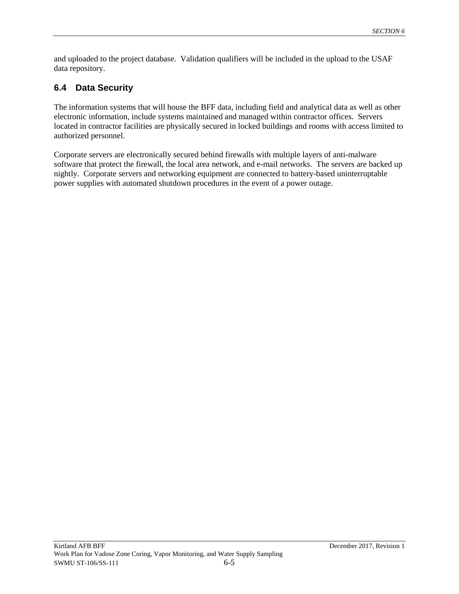and uploaded to the project database. Validation qualifiers will be included in the upload to the USAF data repository.

## **6.4 Data Security**

The information systems that will house the BFF data, including field and analytical data as well as other electronic information, include systems maintained and managed within contractor offices. Servers located in contractor facilities are physically secured in locked buildings and rooms with access limited to authorized personnel.

Corporate servers are electronically secured behind firewalls with multiple layers of anti-malware software that protect the firewall, the local area network, and e-mail networks. The servers are backed up nightly. Corporate servers and networking equipment are connected to battery-based uninterruptable power supplies with automated shutdown procedures in the event of a power outage.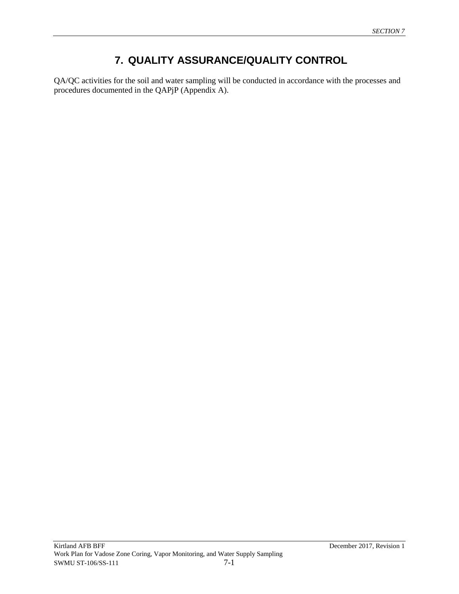# **7. QUALITY ASSURANCE/QUALITY CONTROL**

QA/QC activities for the soil and water sampling will be conducted in accordance with the processes and procedures documented in the QAPjP (Appendix A).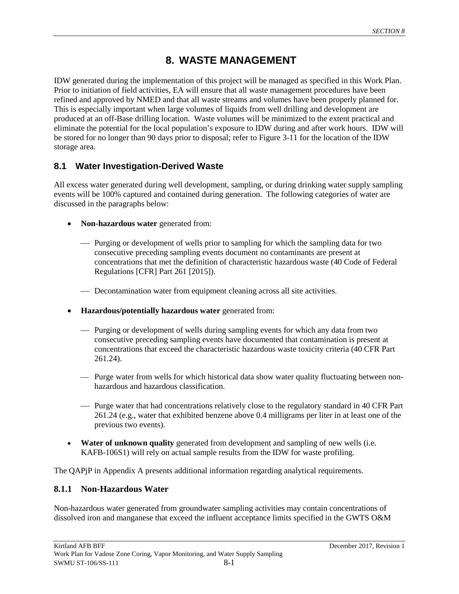# **8. WASTE MANAGEMENT**

IDW generated during the implementation of this project will be managed as specified in this Work Plan. Prior to initiation of field activities, EA will ensure that all waste management procedures have been refined and approved by NMED and that all waste streams and volumes have been properly planned for. This is especially important when large volumes of liquids from well drilling and development are produced at an off-Base drilling location. Waste volumes will be minimized to the extent practical and eliminate the potential for the local population's exposure to IDW during and after work hours. IDW will be stored for no longer than 90 days prior to disposal; refer to Figure 3-11 for the location of the IDW storage area.

### **8.1 Water Investigation-Derived Waste**

All excess water generated during well development, sampling, or during drinking water supply sampling events will be 100% captured and contained during generation. The following categories of water are discussed in the paragraphs below:

- **Non-hazardous water** generated from:
	- Purging or development of wells prior to sampling for which the sampling data for two consecutive preceding sampling events document no contaminants are present at concentrations that met the definition of characteristic hazardous waste (40 Code of Federal Regulations [CFR] Part 261 [2015]).
	- Decontamination water from equipment cleaning across all site activities.
- **Hazardous/potentially hazardous water** generated from:
	- Purging or development of wells during sampling events for which any data from two consecutive preceding sampling events have documented that contamination is present at concentrations that exceed the characteristic hazardous waste toxicity criteria (40 CFR Part 261.24).
	- Purge water from wells for which historical data show water quality fluctuating between nonhazardous and hazardous classification.
	- Purge water that had concentrations relatively close to the regulatory standard in 40 CFR Part 261.24 (e.g., water that exhibited benzene above 0.4 milligrams per liter in at least one of the previous two events).
- **Water of unknown quality** generated from development and sampling of new wells (i.e. KAFB-106S1) will rely on actual sample results from the IDW for waste profiling.

The QAPjP in Appendix A presents additional information regarding analytical requirements.

### **8.1.1 Non-Hazardous Water**

Non-hazardous water generated from groundwater sampling activities may contain concentrations of dissolved iron and manganese that exceed the influent acceptance limits specified in the GWTS O&M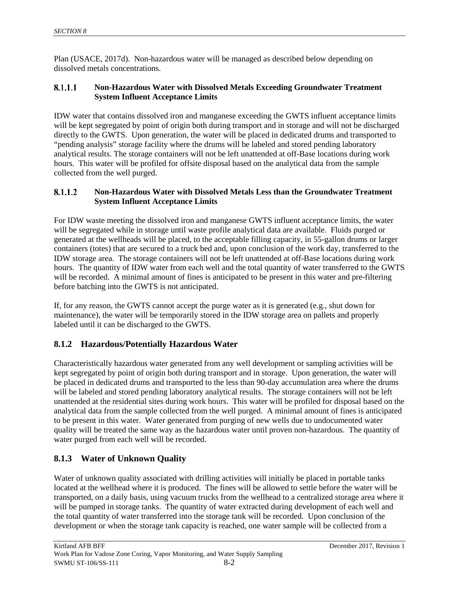Plan (USACE, 2017d). Non-hazardous water will be managed as described below depending on dissolved metals concentrations.

#### 8.1.1.1 **Non-Hazardous Water with Dissolved Metals Exceeding Groundwater Treatment System Influent Acceptance Limits**

IDW water that contains dissolved iron and manganese exceeding the GWTS influent acceptance limits will be kept segregated by point of origin both during transport and in storage and will not be discharged directly to the GWTS. Upon generation, the water will be placed in dedicated drums and transported to "pending analysis" storage facility where the drums will be labeled and stored pending laboratory analytical results. The storage containers will not be left unattended at off-Base locations during work hours. This water will be profiled for offsite disposal based on the analytical data from the sample collected from the well purged.

#### 8.1.1.2 **Non-Hazardous Water with Dissolved Metals Less than the Groundwater Treatment System Influent Acceptance Limits**

For IDW waste meeting the dissolved iron and manganese GWTS influent acceptance limits, the water will be segregated while in storage until waste profile analytical data are available. Fluids purged or generated at the wellheads will be placed, to the acceptable filling capacity, in 55-gallon drums or larger containers (totes) that are secured to a truck bed and, upon conclusion of the work day, transferred to the IDW storage area. The storage containers will not be left unattended at off-Base locations during work hours. The quantity of IDW water from each well and the total quantity of water transferred to the GWTS will be recorded. A minimal amount of fines is anticipated to be present in this water and pre-filtering before batching into the GWTS is not anticipated.

If, for any reason, the GWTS cannot accept the purge water as it is generated (e.g., shut down for maintenance), the water will be temporarily stored in the IDW storage area on pallets and properly labeled until it can be discharged to the GWTS.

### **8.1.2 Hazardous/Potentially Hazardous Water**

Characteristically hazardous water generated from any well development or sampling activities will be kept segregated by point of origin both during transport and in storage. Upon generation, the water will be placed in dedicated drums and transported to the less than 90-day accumulation area where the drums will be labeled and stored pending laboratory analytical results. The storage containers will not be left unattended at the residential sites during work hours. This water will be profiled for disposal based on the analytical data from the sample collected from the well purged. A minimal amount of fines is anticipated to be present in this water. Water generated from purging of new wells due to undocumented water quality will be treated the same way as the hazardous water until proven non-hazardous. The quantity of water purged from each well will be recorded.

### **8.1.3 Water of Unknown Quality**

Water of unknown quality associated with drilling activities will initially be placed in portable tanks located at the wellhead where it is produced. The fines will be allowed to settle before the water will be transported, on a daily basis, using vacuum trucks from the wellhead to a centralized storage area where it will be pumped in storage tanks. The quantity of water extracted during development of each well and the total quantity of water transferred into the storage tank will be recorded. Upon conclusion of the development or when the storage tank capacity is reached, one water sample will be collected from a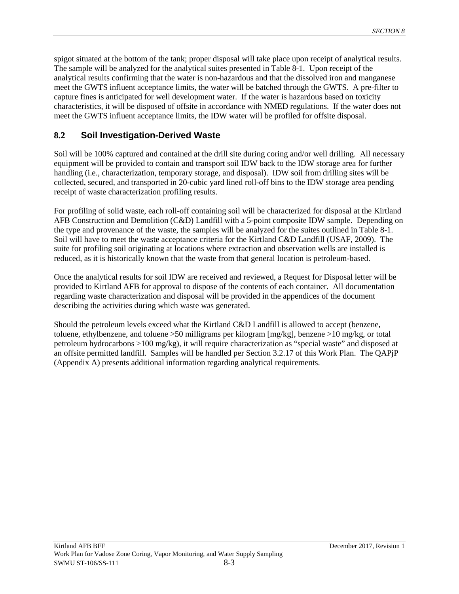spigot situated at the bottom of the tank; proper disposal will take place upon receipt of analytical results. The sample will be analyzed for the analytical suites presented in Table 8-1. Upon receipt of the analytical results confirming that the water is non-hazardous and that the dissolved iron and manganese meet the GWTS influent acceptance limits, the water will be batched through the GWTS. A pre-filter to capture fines is anticipated for well development water. If the water is hazardous based on toxicity characteristics, it will be disposed of offsite in accordance with NMED regulations. If the water does not meet the GWTS influent acceptance limits, the IDW water will be profiled for offsite disposal.

### **8.2 Soil Investigation-Derived Waste**

Soil will be 100% captured and contained at the drill site during coring and/or well drilling. All necessary equipment will be provided to contain and transport soil IDW back to the IDW storage area for further handling (i.e., characterization, temporary storage, and disposal). IDW soil from drilling sites will be collected, secured, and transported in 20-cubic yard lined roll-off bins to the IDW storage area pending receipt of waste characterization profiling results.

For profiling of solid waste, each roll-off containing soil will be characterized for disposal at the Kirtland AFB Construction and Demolition (C&D) Landfill with a 5-point composite IDW sample. Depending on the type and provenance of the waste, the samples will be analyzed for the suites outlined in Table 8-1. Soil will have to meet the waste acceptance criteria for the Kirtland C&D Landfill (USAF, 2009). The suite for profiling soil originating at locations where extraction and observation wells are installed is reduced, as it is historically known that the waste from that general location is petroleum-based.

Once the analytical results for soil IDW are received and reviewed, a Request for Disposal letter will be provided to Kirtland AFB for approval to dispose of the contents of each container. All documentation regarding waste characterization and disposal will be provided in the appendices of the document describing the activities during which waste was generated.

Should the petroleum levels exceed what the Kirtland C&D Landfill is allowed to accept (benzene, toluene, ethylbenzene, and toluene >50 milligrams per kilogram [mg/kg], benzene >10 mg/kg, or total petroleum hydrocarbons >100 mg/kg), it will require characterization as "special waste" and disposed at an offsite permitted landfill. Samples will be handled per Section 3.2.17 of this Work Plan. The QAPjP (Appendix A) presents additional information regarding analytical requirements.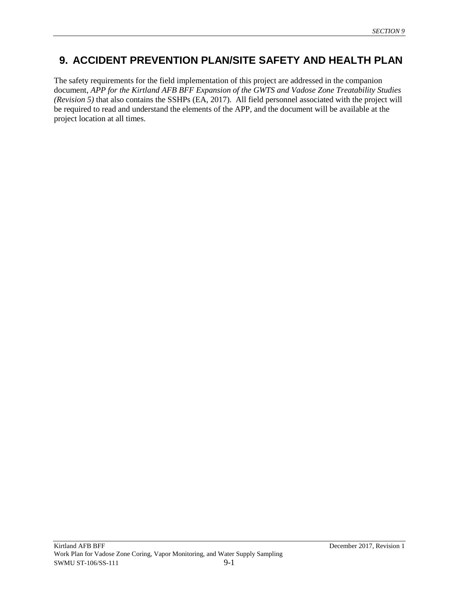## **9. ACCIDENT PREVENTION PLAN/SITE SAFETY AND HEALTH PLAN**

The safety requirements for the field implementation of this project are addressed in the companion document, *APP for the Kirtland AFB BFF Expansion of the GWTS and Vadose Zone Treatability Studies (Revision 5)* that also contains the SSHPs (EA, 2017). All field personnel associated with the project will be required to read and understand the elements of the APP, and the document will be available at the project location at all times.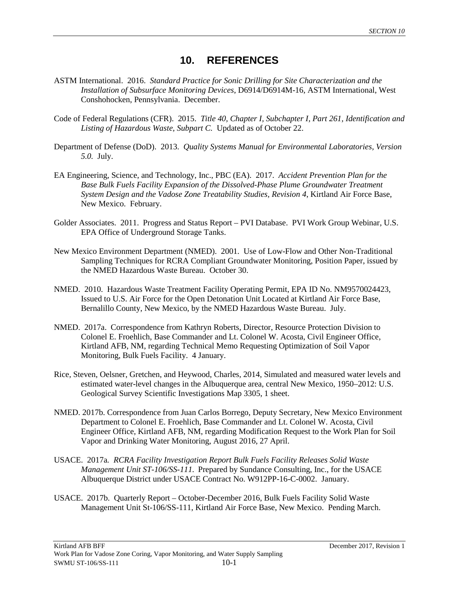### **10. REFERENCES**

- ASTM International. 2016. *Standard Practice for Sonic Drilling for Site Characterization and the Installation of Subsurface Monitoring Devices*, D6914/D6914M-16, ASTM International, West Conshohocken, Pennsylvania. December.
- Code of Federal Regulations (CFR). 2015. *Title 40, Chapter I, Subchapter I, Part 261, Identification and Listing of Hazardous Waste, Subpart C.* Updated as of October 22.
- Department of Defense (DoD). 2013. *Quality Systems Manual for Environmental Laboratories, Version 5.0.* July.
- EA Engineering, Science, and Technology, Inc., PBC (EA). 2017. *Accident Prevention Plan for the*  Base Bulk Fuels Facility Expansion of the Dissolved-Phase Plume Groundwater Treatment *System Design and the Vadose Zone Treatability Studies, Revision 4*, Kirtland Air Force Base, New Mexico. February.
- Golder Associates. 2011. Progress and Status Report PVI Database. PVI Work Group Webinar, U.S. EPA Office of Underground Storage Tanks.
- New Mexico Environment Department (NMED). 2001. Use of Low-Flow and Other Non-Traditional Sampling Techniques for RCRA Compliant Groundwater Monitoring, Position Paper, issued by the NMED Hazardous Waste Bureau. October 30.
- NMED. 2010. Hazardous Waste Treatment Facility Operating Permit, EPA ID No. NM9570024423, Issued to U.S. Air Force for the Open Detonation Unit Located at Kirtland Air Force Base, Bernalillo County, New Mexico, by the NMED Hazardous Waste Bureau. July.
- NMED. 2017a. Correspondence from Kathryn Roberts, Director, Resource Protection Division to Colonel E. Froehlich, Base Commander and Lt. Colonel W. Acosta, Civil Engineer Office, Kirtland AFB, NM, regarding Technical Memo Requesting Optimization of Soil Vapor Monitoring, Bulk Fuels Facility. 4 January.
- Rice, Steven, Oelsner, Gretchen, and Heywood, Charles, 2014, Simulated and measured water levels and estimated water-level changes in the Albuquerque area, central New Mexico, 1950–2012: U.S. Geological Survey Scientific Investigations Map 3305, 1 sheet.
- NMED. 2017b. Correspondence from Juan Carlos Borrego, Deputy Secretary, New Mexico Environment Department to Colonel E. Froehlich, Base Commander and Lt. Colonel W. Acosta, Civil Engineer Office, Kirtland AFB, NM, regarding Modification Request to the Work Plan for Soil Vapor and Drinking Water Monitoring, August 2016, 27 April.
- USACE. 2017a*. RCRA Facility Investigation Report Bulk Fuels Facility Releases Solid Waste Management Unit ST-106/SS-111.* Prepared by Sundance Consulting, Inc., for the USACE Albuquerque District under USACE Contract No. W912PP-16-C-0002. January.
- USACE. 2017b. Quarterly Report October-December 2016, Bulk Fuels Facility Solid Waste Management Unit St-106/SS-111, Kirtland Air Force Base, New Mexico. Pending March.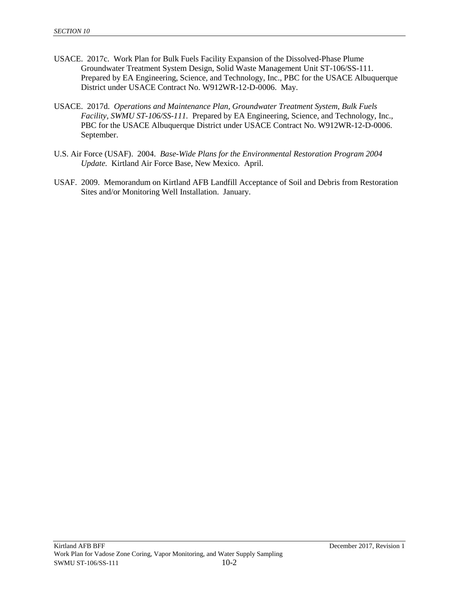- USACE. 2017c. Work Plan for Bulk Fuels Facility Expansion of the Dissolved-Phase Plume Groundwater Treatment System Design, Solid Waste Management Unit ST-106/SS-111. Prepared by EA Engineering, Science, and Technology, Inc., PBC for the USACE Albuquerque District under USACE Contract No. W912WR-12-D-0006. May.
- USACE. 2017d. *Operations and Maintenance Plan, Groundwater Treatment System, Bulk Fuels Facility, SWMU ST-106/SS-111.* Prepared by EA Engineering, Science, and Technology, Inc., PBC for the USACE Albuquerque District under USACE Contract No. W912WR-12-D-0006. September.
- U.S. Air Force (USAF). 2004. *Base-Wide Plans for the Environmental Restoration Program 2004 Update.* Kirtland Air Force Base, New Mexico. April.
- USAF. 2009. Memorandum on Kirtland AFB Landfill Acceptance of Soil and Debris from Restoration Sites and/or Monitoring Well Installation. January.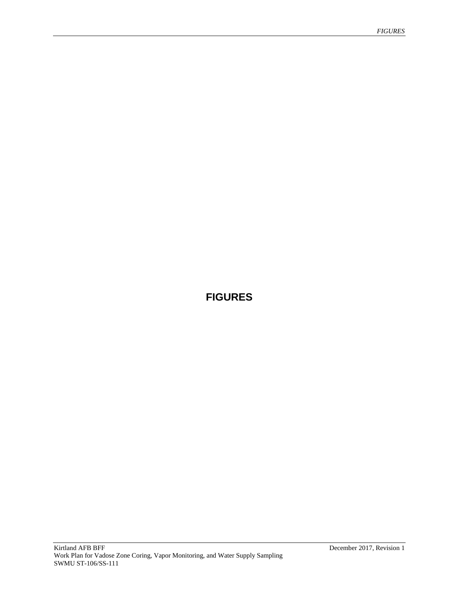# **FIGURES**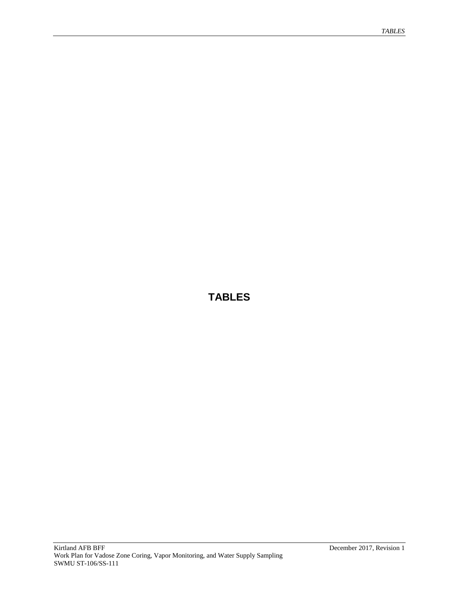# **TABLES**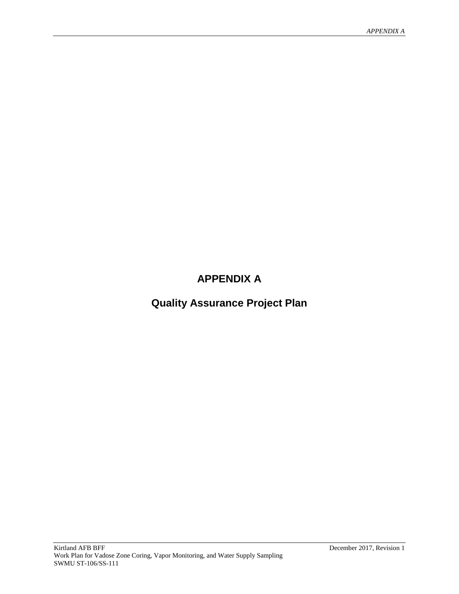# **APPENDIX A**

**Quality Assurance Project Plan**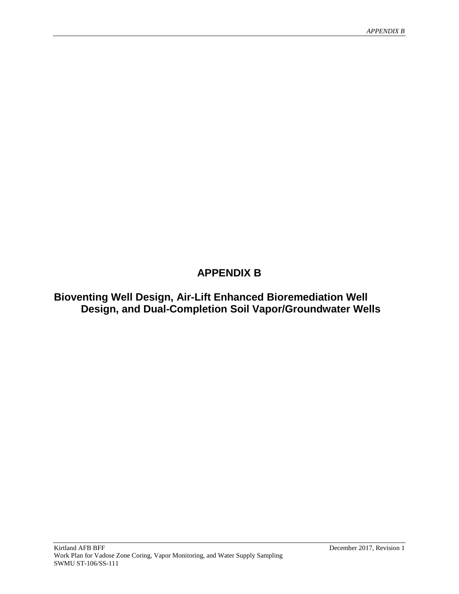# **APPENDIX B**

**Bioventing Well Design, Air-Lift Enhanced Bioremediation Well Design, and Dual-Completion Soil Vapor/Groundwater Wells**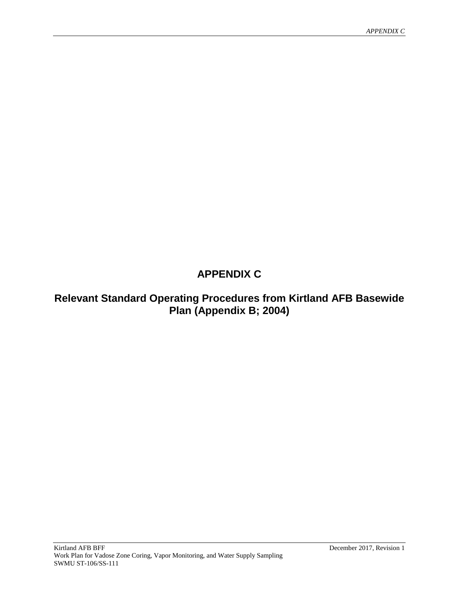# **APPENDIX C**

# **Relevant Standard Operating Procedures from Kirtland AFB Basewide Plan (Appendix B; 2004)**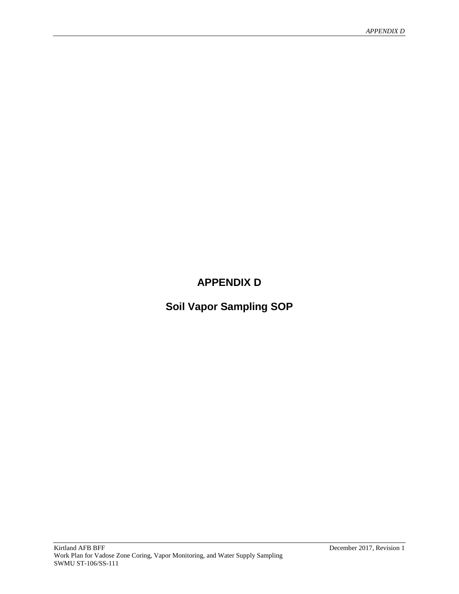# **APPENDIX D**

**Soil Vapor Sampling SOP**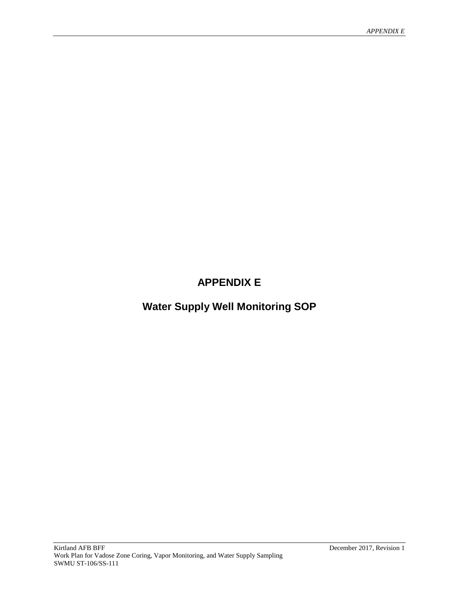# **APPENDIX E**

# **Water Supply Well Monitoring SOP**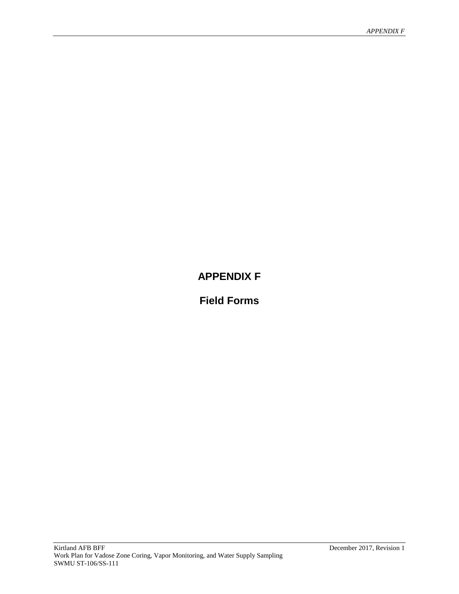# **APPENDIX F**

**Field Forms**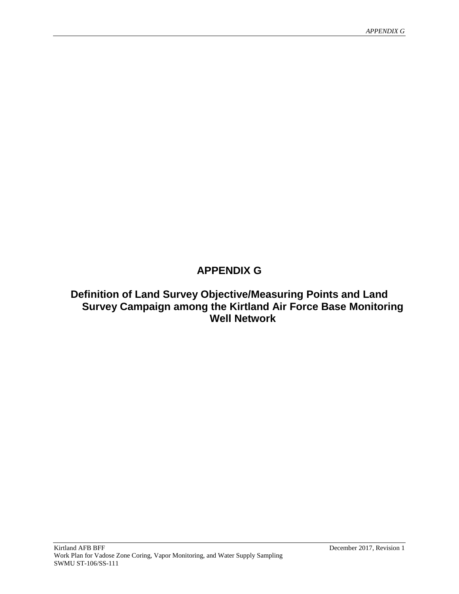# **APPENDIX G**

## **Definition of Land Survey Objective/Measuring Points and Land Survey Campaign among the Kirtland Air Force Base Monitoring Well Network**